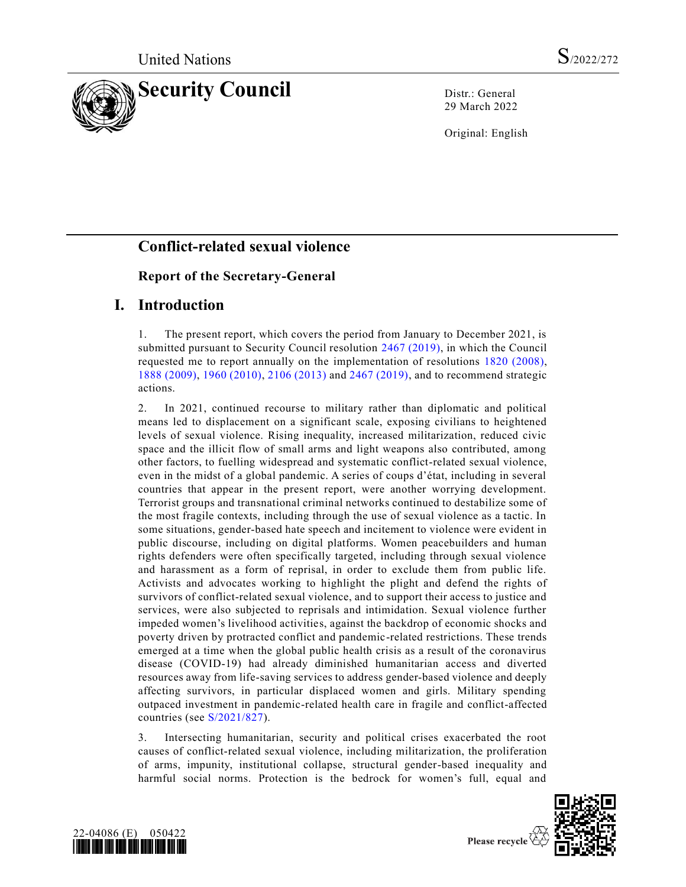

29 March 2022

Original: English

# **Conflict-related sexual violence**

# **Report of the Secretary-General**

# **I. Introduction**

1. The present report, which covers the period from January to December 2021, is submitted pursuant to Security Council resolution [2467 \(2019\),](https://undocs.org/en/S/RES/2467(2019)) in which the Council requested me to report annually on the implementation of resolutions [1820 \(2008\),](https://undocs.org/en/S/RES/1820(2008)) [1888 \(2009\),](https://undocs.org/en/S/RES/1888(2009)) [1960 \(2010\),](https://undocs.org/en/S/RES/1960(2010)) [2106 \(2013\)](https://undocs.org/en/S/RES/2106(2013)) and [2467 \(2019\),](https://undocs.org/en/S/RES/2467(2019)) and to recommend strategic actions.

2. In 2021, continued recourse to military rather than diplomatic and political means led to displacement on a significant scale, exposing civilians to heightened levels of sexual violence. Rising inequality, increased militarization, reduced civic space and the illicit flow of small arms and light weapons also contributed, among other factors, to fuelling widespread and systematic conflict-related sexual violence, even in the midst of a global pandemic. A series of coups d'état, including in several countries that appear in the present report, were another worrying development. Terrorist groups and transnational criminal networks continued to destabilize some of the most fragile contexts, including through the use of sexual violence as a tactic. In some situations, gender-based hate speech and incitement to violence were evident in public discourse, including on digital platforms. Women peacebuilders and human rights defenders were often specifically targeted, including through sexual violence and harassment as a form of reprisal, in order to exclude them from public life. Activists and advocates working to highlight the plight and defend the rights of survivors of conflict-related sexual violence, and to support their access to justice and services, were also subjected to reprisals and intimidation. Sexual violence further impeded women's livelihood activities, against the backdrop of economic shocks and poverty driven by protracted conflict and pandemic-related restrictions. These trends emerged at a time when the global public health crisis as a result of the coronavirus disease (COVID-19) had already diminished humanitarian access and diverted resources away from life-saving services to address gender-based violence and deeply affecting survivors, in particular displaced women and girls. Military spending outpaced investment in pandemic-related health care in fragile and conflict-affected countries (see [S/2021/827\)](https://undocs.org/en/S/2021/827).

3. Intersecting humanitarian, security and political crises exacerbated the root causes of conflict-related sexual violence, including militarization, the proliferation of arms, impunity, institutional collapse, structural gender-based inequality and harmful social norms. Protection is the bedrock for women's full, equal and



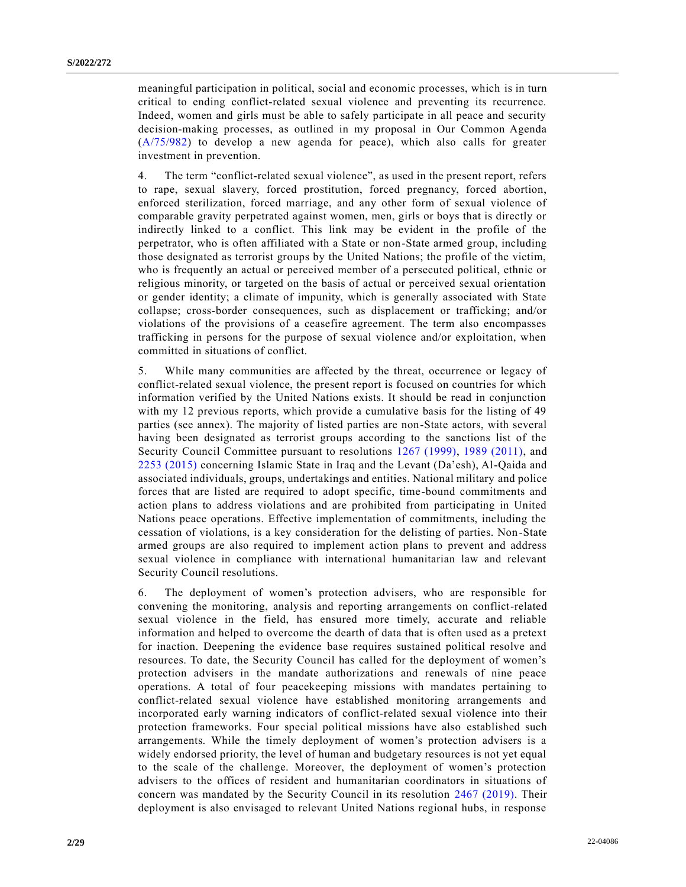meaningful participation in political, social and economic processes, which is in turn critical to ending conflict-related sexual violence and preventing its recurrence. Indeed, women and girls must be able to safely participate in all peace and security decision-making processes, as outlined in my proposal in Our Common Agenda [\(A/75/982\)](https://undocs.org/en/A/75/982) to develop a new agenda for peace), which also calls for greater investment in prevention.

4. The term "conflict-related sexual violence", as used in the present report, refers to rape, sexual slavery, forced prostitution, forced pregnancy, forced abortion, enforced sterilization, forced marriage, and any other form of sexual violence of comparable gravity perpetrated against women, men, girls or boys that is directly or indirectly linked to a conflict. This link may be evident in the profile of the perpetrator, who is often affiliated with a State or non-State armed group, including those designated as terrorist groups by the United Nations; the profile of the victim, who is frequently an actual or perceived member of a persecuted political, ethnic or religious minority, or targeted on the basis of actual or perceived sexual orientation or gender identity; a climate of impunity, which is generally associated with State collapse; cross-border consequences, such as displacement or trafficking; and/or violations of the provisions of a ceasefire agreement. The term also encompasses trafficking in persons for the purpose of sexual violence and/or exploitation, when committed in situations of conflict.

5. While many communities are affected by the threat, occurrence or legacy of conflict-related sexual violence, the present report is focused on countries for which information verified by the United Nations exists. It should be read in conjunction with my 12 previous reports, which provide a cumulative basis for the listing of 49 parties (see annex). The majority of listed parties are non-State actors, with several having been designated as terrorist groups according to the sanctions list of the Security Council Committee pursuant to resolutions [1267 \(1999\),](https://undocs.org/en/S/RES/1267(1999)) [1989 \(2011\),](https://undocs.org/en/S/RES/1989(2011)) and [2253 \(2015\)](https://undocs.org/en/S/RES/2253(2015)) concerning Islamic State in Iraq and the Levant (Da'esh), Al-Qaida and associated individuals, groups, undertakings and entities. National military and police forces that are listed are required to adopt specific, time-bound commitments and action plans to address violations and are prohibited from participating in United Nations peace operations. Effective implementation of commitments, including the cessation of violations, is a key consideration for the delisting of parties. Non -State armed groups are also required to implement action plans to prevent and address sexual violence in compliance with international humanitarian law and relevant Security Council resolutions.

6. The deployment of women's protection advisers, who are responsible for convening the monitoring, analysis and reporting arrangements on conflict-related sexual violence in the field, has ensured more timely, accurate and reliable information and helped to overcome the dearth of data that is often used as a pretext for inaction. Deepening the evidence base requires sustained political resolve and resources. To date, the Security Council has called for the deployment of women's protection advisers in the mandate authorizations and renewals of nine peace operations. A total of four peacekeeping missions with mandates pertaining to conflict-related sexual violence have established monitoring arrangements and incorporated early warning indicators of conflict-related sexual violence into their protection frameworks. Four special political missions have also established such arrangements. While the timely deployment of women's protection advisers is a widely endorsed priority, the level of human and budgetary resources is not yet equal to the scale of the challenge. Moreover, the deployment of women's protection advisers to the offices of resident and humanitarian coordinators in situations of concern was mandated by the Security Council in its resolution [2467 \(2019\).](https://undocs.org/en/S/RES/2467(2019)) Their deployment is also envisaged to relevant United Nations regional hubs, in response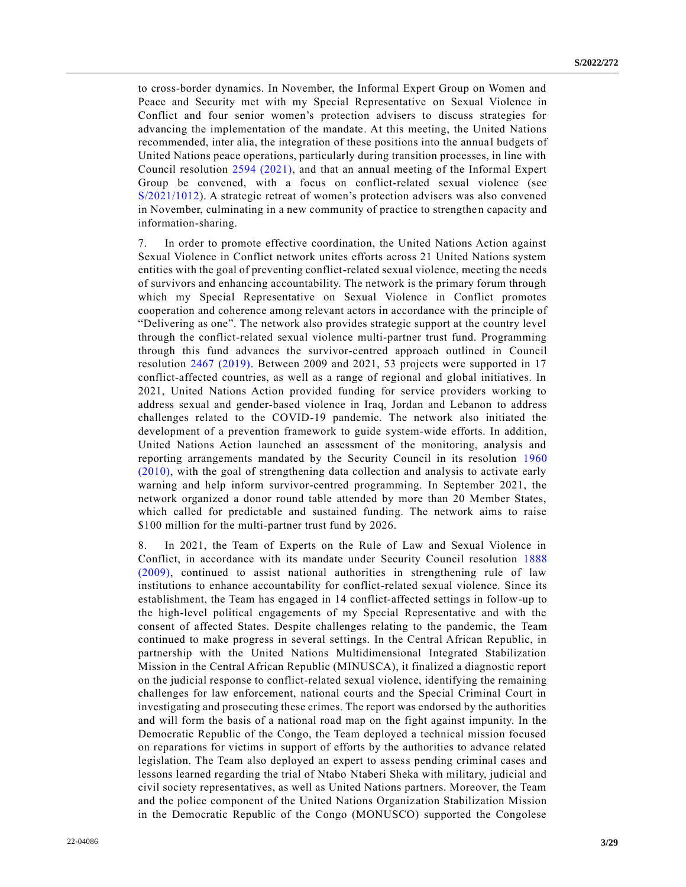to cross-border dynamics. In November, the Informal Expert Group on Women and Peace and Security met with my Special Representative on Sexual Violence in Conflict and four senior women's protection advisers to discuss strategies for advancing the implementation of the mandate. At this meeting, the United Nations recommended, inter alia, the integration of these positions into the annua l budgets of United Nations peace operations, particularly during transition processes, in line with Council resolution [2594 \(2021\),](https://undocs.org/en/S/RES/2594(2021)) and that an annual meeting of the Informal Expert Group be convened, with a focus on conflict-related sexual violence (see [S/2021/1012\)](https://undocs.org/en/S/2021/1012). A strategic retreat of women's protection advisers was also convened in November, culminating in a new community of practice to strengthen capacity and information-sharing.

7. In order to promote effective coordination, the United Nations Action against Sexual Violence in Conflict network unites efforts across 21 United Nations system entities with the goal of preventing conflict-related sexual violence, meeting the needs of survivors and enhancing accountability. The network is the primary forum through which my Special Representative on Sexual Violence in Conflict promotes cooperation and coherence among relevant actors in accordance with the principle of "Delivering as one". The network also provides strategic support at the country level through the conflict-related sexual violence multi-partner trust fund. Programming through this fund advances the survivor-centred approach outlined in Council resolution [2467 \(2019\).](https://undocs.org/en/S/RES/2467(2019)) Between 2009 and 2021, 53 projects were supported in 17 conflict-affected countries, as well as a range of regional and global initiatives. In 2021, United Nations Action provided funding for service providers working to address sexual and gender-based violence in Iraq, Jordan and Lebanon to address challenges related to the COVID-19 pandemic. The network also initiated the development of a prevention framework to guide system-wide efforts. In addition, United Nations Action launched an assessment of the monitoring, analysis and reporting arrangements mandated by the Security Council in its resolution [1960](https://undocs.org/en/S/RES/1960(2010))  [\(2010\),](https://undocs.org/en/S/RES/1960(2010)) with the goal of strengthening data collection and analysis to activate early warning and help inform survivor-centred programming. In September 2021, the network organized a donor round table attended by more than 20 Member States, which called for predictable and sustained funding. The network aims to raise \$100 million for the multi-partner trust fund by 2026.

8. In 2021, the Team of Experts on the Rule of Law and Sexual Violence in Conflict, in accordance with its mandate under Security Council resolution [1888](https://undocs.org/en/S/RES/1888(2009))  [\(2009\),](https://undocs.org/en/S/RES/1888(2009)) continued to assist national authorities in strengthening rule of law institutions to enhance accountability for conflict-related sexual violence. Since its establishment, the Team has engaged in 14 conflict-affected settings in follow-up to the high-level political engagements of my Special Representative and with the consent of affected States. Despite challenges relating to the pandemic, the Team continued to make progress in several settings. In the Central African Republic, in partnership with the United Nations Multidimensional Integrated Stabilization Mission in the Central African Republic (MINUSCA), it finalized a diagnostic report on the judicial response to conflict-related sexual violence, identifying the remaining challenges for law enforcement, national courts and the Special Criminal Court in investigating and prosecuting these crimes. The report was endorsed by the authorities and will form the basis of a national road map on the fight against impunity. In the Democratic Republic of the Congo, the Team deployed a technical mission focused on reparations for victims in support of efforts by the authorities to advance related legislation. The Team also deployed an expert to assess pending criminal cases and lessons learned regarding the trial of Ntabo Ntaberi Sheka with military, judicial and civil society representatives, as well as United Nations partners. Moreover, the Team and the police component of the United Nations Organization Stabilization Mission in the Democratic Republic of the Congo (MONUSCO) supported the Congolese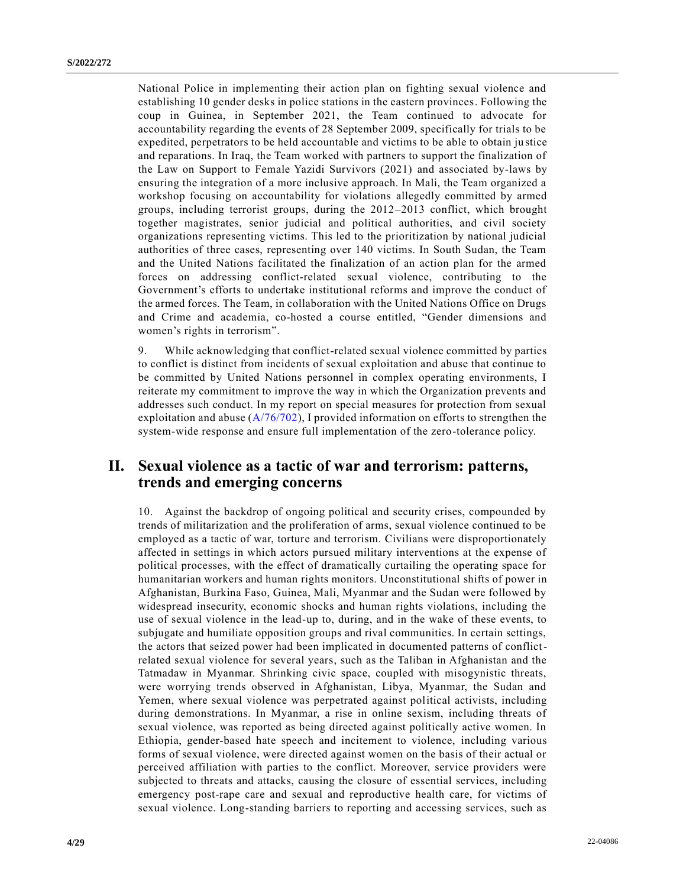National Police in implementing their action plan on fighting sexual violence and establishing 10 gender desks in police stations in the eastern provinces. Following the coup in Guinea, in September 2021, the Team continued to advocate for accountability regarding the events of 28 September 2009, specifically for trials to be expedited, perpetrators to be held accountable and victims to be able to obtain ju stice and reparations. In Iraq, the Team worked with partners to support the finalization of the Law on Support to Female Yazidi Survivors (2021) and associated by-laws by ensuring the integration of a more inclusive approach. In Mali, the Team organized a workshop focusing on accountability for violations allegedly committed by armed groups, including terrorist groups, during the 2012–2013 conflict, which brought together magistrates, senior judicial and political authorities, and civil society organizations representing victims. This led to the prioritization by national judicial authorities of three cases, representing over 140 victims. In South Sudan, the Team and the United Nations facilitated the finalization of an action plan for the armed forces on addressing conflict-related sexual violence, contributing to the Government's efforts to undertake institutional reforms and improve the conduct of the armed forces. The Team, in collaboration with the United Nations Office on Drugs and Crime and academia, co-hosted a course entitled, "Gender dimensions and women's rights in terrorism".

9. While acknowledging that conflict-related sexual violence committed by parties to conflict is distinct from incidents of sexual exploitation and abuse that continue to be committed by United Nations personnel in complex operating environments, I reiterate my commitment to improve the way in which the Organization prevents and addresses such conduct. In my report on special measures for protection from sexual exploitation and abuse  $(A/76/702)$ , I provided information on efforts to strengthen the system-wide response and ensure full implementation of the zero-tolerance policy.

# **II. Sexual violence as a tactic of war and terrorism: patterns, trends and emerging concerns**

10. Against the backdrop of ongoing political and security crises, compounded by trends of militarization and the proliferation of arms, sexual violence continued to be employed as a tactic of war, torture and terrorism. Civilians were disproportionately affected in settings in which actors pursued military interventions at the expense of political processes, with the effect of dramatically curtailing the operating space for humanitarian workers and human rights monitors. Unconstitutional shifts of power in Afghanistan, Burkina Faso, Guinea, Mali, Myanmar and the Sudan were followed by widespread insecurity, economic shocks and human rights violations, including the use of sexual violence in the lead-up to, during, and in the wake of these events, to subjugate and humiliate opposition groups and rival communities. In certain settings, the actors that seized power had been implicated in documented patterns of conflictrelated sexual violence for several years, such as the Taliban in Afghanistan and the Tatmadaw in Myanmar. Shrinking civic space, coupled with misogynistic threats, were worrying trends observed in Afghanistan, Libya, Myanmar, the Sudan and Yemen, where sexual violence was perpetrated against political activists, including during demonstrations. In Myanmar, a rise in online sexism, including threats of sexual violence, was reported as being directed against politically active women. In Ethiopia, gender-based hate speech and incitement to violence, including various forms of sexual violence, were directed against women on the basis of their actual or perceived affiliation with parties to the conflict. Moreover, service providers were subjected to threats and attacks, causing the closure of essential services, including emergency post-rape care and sexual and reproductive health care, for victims of sexual violence. Long-standing barriers to reporting and accessing services, such as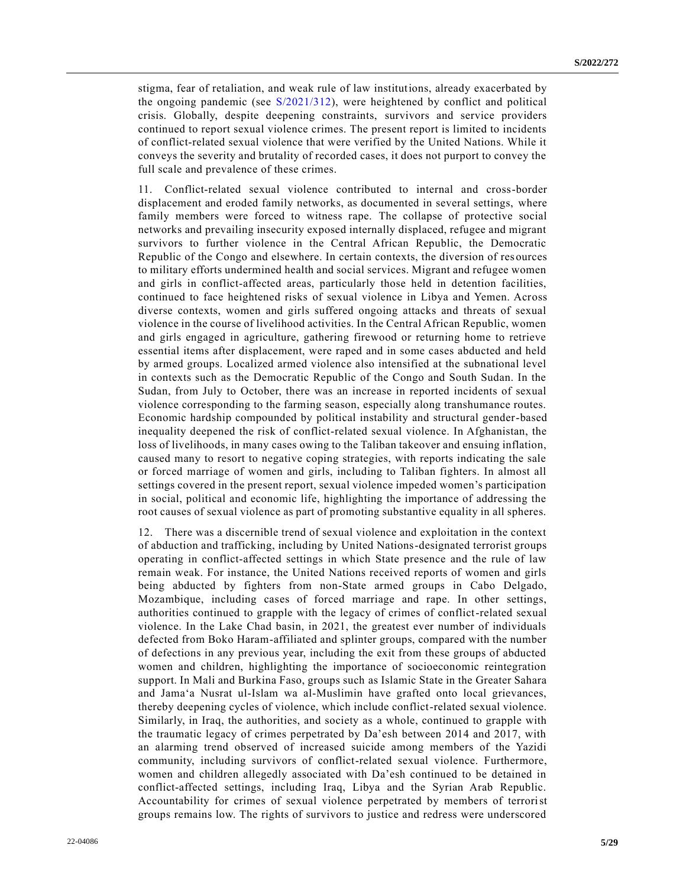stigma, fear of retaliation, and weak rule of law institutions, already exacerbated by the ongoing pandemic (see [S/2021/312\)](https://undocs.org/en/S/2021/312), were heightened by conflict and political crisis. Globally, despite deepening constraints, survivors and service providers continued to report sexual violence crimes. The present report is limited to incidents of conflict-related sexual violence that were verified by the United Nations. While it conveys the severity and brutality of recorded cases, it does not purport to convey the full scale and prevalence of these crimes.

11. Conflict-related sexual violence contributed to internal and cross-border displacement and eroded family networks, as documented in several settings, where family members were forced to witness rape. The collapse of protective social networks and prevailing insecurity exposed internally displaced, refugee and migrant survivors to further violence in the Central African Republic, the Democratic Republic of the Congo and elsewhere. In certain contexts, the diversion of res ources to military efforts undermined health and social services. Migrant and refugee women and girls in conflict-affected areas, particularly those held in detention facilities, continued to face heightened risks of sexual violence in Libya and Yemen. Across diverse contexts, women and girls suffered ongoing attacks and threats of sexual violence in the course of livelihood activities. In the Central African Republic, women and girls engaged in agriculture, gathering firewood or returning home to retrieve essential items after displacement, were raped and in some cases abducted and held by armed groups. Localized armed violence also intensified at the subnational level in contexts such as the Democratic Republic of the Congo and South Sudan. In the Sudan, from July to October, there was an increase in reported incidents of sexual violence corresponding to the farming season, especially along transhumance routes. Economic hardship compounded by political instability and structural gender-based inequality deepened the risk of conflict-related sexual violence. In Afghanistan, the loss of livelihoods, in many cases owing to the Taliban takeover and ensuing inflation, caused many to resort to negative coping strategies, with reports indicating the sale or forced marriage of women and girls, including to Taliban fighters. In almost all settings covered in the present report, sexual violence impeded women's participation in social, political and economic life, highlighting the importance of addressing the root causes of sexual violence as part of promoting substantive equality in all spheres.

12. There was a discernible trend of sexual violence and exploitation in the context of abduction and trafficking, including by United Nations-designated terrorist groups operating in conflict-affected settings in which State presence and the rule of law remain weak. For instance, the United Nations received reports of women and girls being abducted by fighters from non-State armed groups in Cabo Delgado, Mozambique, including cases of forced marriage and rape. In other settings, authorities continued to grapple with the legacy of crimes of conflict-related sexual violence. In the Lake Chad basin, in 2021, the greatest ever number of individuals defected from Boko Haram-affiliated and splinter groups, compared with the number of defections in any previous year, including the exit from these groups of abducted women and children, highlighting the importance of socioeconomic reintegration support. In Mali and Burkina Faso, groups such as Islamic State in the Greater Sahara and Jama'a Nusrat ul-Islam wa al-Muslimin have grafted onto local grievances, thereby deepening cycles of violence, which include conflict-related sexual violence. Similarly, in Iraq, the authorities, and society as a whole, continued to grapple with the traumatic legacy of crimes perpetrated by Da'esh between 2014 and 2017, with an alarming trend observed of increased suicide among members of the Yazidi community, including survivors of conflict-related sexual violence. Furthermore, women and children allegedly associated with Da'esh continued to be detained in conflict-affected settings, including Iraq, Libya and the Syrian Arab Republic. Accountability for crimes of sexual violence perpetrated by members of terrorist groups remains low. The rights of survivors to justice and redress were underscored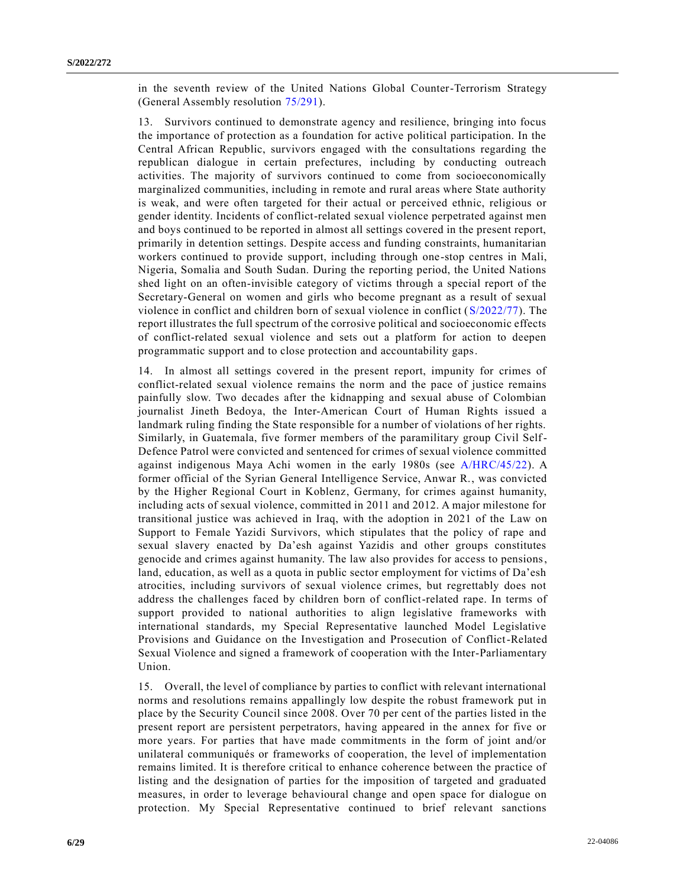in the seventh review of the United Nations Global Counter-Terrorism Strategy (General Assembly resolution [75/291\)](https://undocs.org/en/A/RES/75/291).

13. Survivors continued to demonstrate agency and resilience, bringing into focus the importance of protection as a foundation for active political participation. In the Central African Republic, survivors engaged with the consultations regarding the republican dialogue in certain prefectures, including by conducting outreach activities. The majority of survivors continued to come from socioeconomically marginalized communities, including in remote and rural areas where State authority is weak, and were often targeted for their actual or perceived ethnic, religious or gender identity. Incidents of conflict-related sexual violence perpetrated against men and boys continued to be reported in almost all settings covered in the present report, primarily in detention settings. Despite access and funding constraints, humanitarian workers continued to provide support, including through one-stop centres in Mali, Nigeria, Somalia and South Sudan. During the reporting period, the United Nations shed light on an often-invisible category of victims through a special report of the Secretary-General on women and girls who become pregnant as a result of sexual violence in conflict and children born of sexual violence in conflict [\(S/2022/77\)](https://undocs.org/en/S/2022/77). The report illustrates the full spectrum of the corrosive political and socioeconomic effects of conflict-related sexual violence and sets out a platform for action to deepen programmatic support and to close protection and accountability gaps.

14. In almost all settings covered in the present report, impunity for crimes of conflict-related sexual violence remains the norm and the pace of justice remains painfully slow. Two decades after the kidnapping and sexual abuse of Colombian journalist Jineth Bedoya, the Inter-American Court of Human Rights issued a landmark ruling finding the State responsible for a number of violations of her rights. Similarly, in Guatemala, five former members of the paramilitary group Civil Self-Defence Patrol were convicted and sentenced for crimes of sexual violence committed against indigenous Maya Achi women in the early 1980s (see [A/HRC/45/22\)](https://undocs.org/en/A/HRC/45/22). A former official of the Syrian General Intelligence Service, Anwar R., was convicted by the Higher Regional Court in Koblenz, Germany, for crimes against humanity, including acts of sexual violence, committed in 2011 and 2012. A major milestone for transitional justice was achieved in Iraq, with the adoption in 2021 of the Law on Support to Female Yazidi Survivors, which stipulates that the policy of rape and sexual slavery enacted by Da'esh against Yazidis and other groups constitutes genocide and crimes against humanity. The law also provides for access to pensions, land, education, as well as a quota in public sector employment for victims of Da'esh atrocities, including survivors of sexual violence crimes, but regrettably does not address the challenges faced by children born of conflict-related rape. In terms of support provided to national authorities to align legislative frameworks with international standards, my Special Representative launched Model Legislative Provisions and Guidance on the Investigation and Prosecution of Conflict-Related Sexual Violence and signed a framework of cooperation with the Inter-Parliamentary Union.

15. Overall, the level of compliance by parties to conflict with relevant international norms and resolutions remains appallingly low despite the robust framework put in place by the Security Council since 2008. Over 70 per cent of the parties listed in the present report are persistent perpetrators, having appeared in the annex for five or more years. For parties that have made commitments in the form of joint and/or unilateral communiqués or frameworks of cooperation, the level of implementation remains limited. It is therefore critical to enhance coherence between the practice of listing and the designation of parties for the imposition of targeted and graduated measures, in order to leverage behavioural change and open space for dialogue on protection. My Special Representative continued to brief relevant sanctions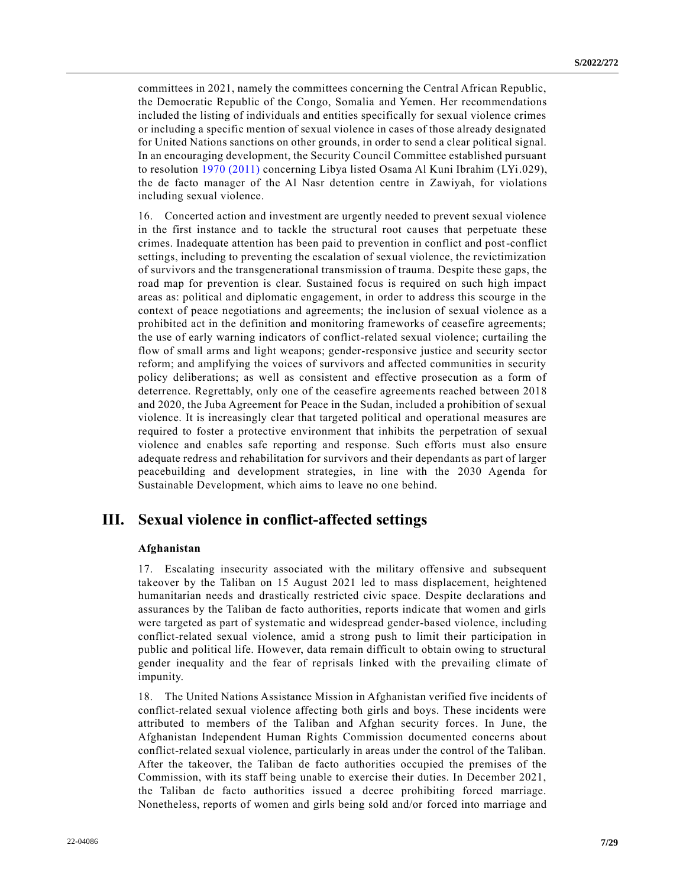committees in 2021, namely the committees concerning the Central African Republic, the Democratic Republic of the Congo, Somalia and Yemen. Her recommendations included the listing of individuals and entities specifically for sexual violence crimes or including a specific mention of sexual violence in cases of those already designated for United Nations sanctions on other grounds, in order to send a clear political signal. In an encouraging development, the Security Council Committee established pursuant to resolution [1970 \(2011\)](https://undocs.org/en/S/RES/1970(2011)) concerning Libya listed Osama Al Kuni Ibrahim (LYi.029), the de facto manager of the Al Nasr detention centre in Zawiyah, for violations including sexual violence.

16. Concerted action and investment are urgently needed to prevent sexual violence in the first instance and to tackle the structural root causes that perpetuate these crimes. Inadequate attention has been paid to prevention in conflict and post-conflict settings, including to preventing the escalation of sexual violence, the revictimization of survivors and the transgenerational transmission of trauma. Despite these gaps, the road map for prevention is clear. Sustained focus is required on such high impact areas as: political and diplomatic engagement, in order to address this scourge in the context of peace negotiations and agreements; the inclusion of sexual violence as a prohibited act in the definition and monitoring frameworks of ceasefire agreements; the use of early warning indicators of conflict-related sexual violence; curtailing the flow of small arms and light weapons; gender-responsive justice and security sector reform; and amplifying the voices of survivors and affected communities in security policy deliberations; as well as consistent and effective prosecution as a form of deterrence. Regrettably, only one of the ceasefire agreements reached between 2018 and 2020, the Juba Agreement for Peace in the Sudan, included a prohibition of sexual violence. It is increasingly clear that targeted political and operational measures are required to foster a protective environment that inhibits the perpetration of sexual violence and enables safe reporting and response. Such efforts must also ensure adequate redress and rehabilitation for survivors and their dependants as part of larger peacebuilding and development strategies, in line with the 2030 Agenda for Sustainable Development, which aims to leave no one behind.

# **III. Sexual violence in conflict-affected settings**

## **Afghanistan**

17. Escalating insecurity associated with the military offensive and subsequent takeover by the Taliban on 15 August 2021 led to mass displacement, heightened humanitarian needs and drastically restricted civic space. Despite declarations and assurances by the Taliban de facto authorities, reports indicate that women and girls were targeted as part of systematic and widespread gender-based violence, including conflict-related sexual violence, amid a strong push to limit their participation in public and political life. However, data remain difficult to obtain owing to structural gender inequality and the fear of reprisals linked with the prevailing climate of impunity.

18. The United Nations Assistance Mission in Afghanistan verified five incidents of conflict-related sexual violence affecting both girls and boys. These incidents were attributed to members of the Taliban and Afghan security forces. In June, the Afghanistan Independent Human Rights Commission documented concerns about conflict-related sexual violence, particularly in areas under the control of the Taliban. After the takeover, the Taliban de facto authorities occupied the premises of the Commission, with its staff being unable to exercise their duties. In December 2021, the Taliban de facto authorities issued a decree prohibiting forced marriage. Nonetheless, reports of women and girls being sold and/or forced into marriage and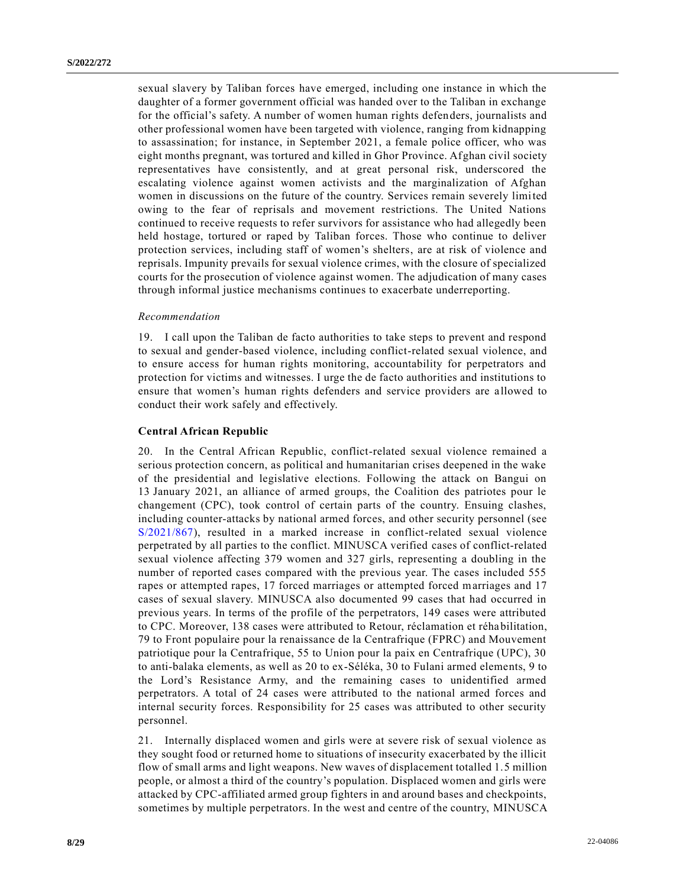sexual slavery by Taliban forces have emerged, including one instance in which the daughter of a former government official was handed over to the Taliban in exchange for the official's safety. A number of women human rights defenders, journalists and other professional women have been targeted with violence, ranging from kidnapping to assassination; for instance, in September 2021, a female police officer, who was eight months pregnant, was tortured and killed in Ghor Province. Afghan civil society representatives have consistently, and at great personal risk, underscored the escalating violence against women activists and the marginalization of Afghan women in discussions on the future of the country. Services remain severely limited owing to the fear of reprisals and movement restrictions. The United Nations continued to receive requests to refer survivors for assistance who had allegedly been held hostage, tortured or raped by Taliban forces. Those who continue to deliver protection services, including staff of women's shelters, are at risk of violence and reprisals. Impunity prevails for sexual violence crimes, with the closure of specialized courts for the prosecution of violence against women. The adjudication of many cases through informal justice mechanisms continues to exacerbate underreporting.

#### *Recommendation*

19. I call upon the Taliban de facto authorities to take steps to prevent and respond to sexual and gender-based violence, including conflict-related sexual violence, and to ensure access for human rights monitoring, accountability for perpetrators and protection for victims and witnesses. I urge the de facto authorities and institutions to ensure that women's human rights defenders and service providers are a llowed to conduct their work safely and effectively.

### **Central African Republic**

20. In the Central African Republic, conflict-related sexual violence remained a serious protection concern, as political and humanitarian crises deepened in the wake of the presidential and legislative elections. Following the attack on Bangui on 13 January 2021, an alliance of armed groups, the Coalition des patriotes pour le changement (CPC), took control of certain parts of the country. Ensuing clashes, including counter-attacks by national armed forces, and other security personnel (see [S/2021/867\)](https://undocs.org/en/S/2021/867), resulted in a marked increase in conflict-related sexual violence perpetrated by all parties to the conflict. MINUSCA verified cases of conflict-related sexual violence affecting 379 women and 327 girls, representing a doubling in the number of reported cases compared with the previous year. The cases included 555 rapes or attempted rapes, 17 forced marriages or attempted forced marriages and 17 cases of sexual slavery. MINUSCA also documented 99 cases that had occurred in previous years. In terms of the profile of the perpetrators, 149 cases were attributed to CPC. Moreover, 138 cases were attributed to Retour, réclamation et réhabilitation, 79 to Front populaire pour la renaissance de la Centrafrique (FPRC) and Mouvement patriotique pour la Centrafrique, 55 to Union pour la paix en Centrafrique (UPC), 30 to anti-balaka elements, as well as 20 to ex-Séléka, 30 to Fulani armed elements, 9 to the Lord's Resistance Army, and the remaining cases to unidentified armed perpetrators. A total of 24 cases were attributed to the national armed forces and internal security forces. Responsibility for 25 cases was attributed to other security personnel.

21. Internally displaced women and girls were at severe risk of sexual violence as they sought food or returned home to situations of insecurity exacerbated by the illicit flow of small arms and light weapons. New waves of displacement totalled 1.5 million people, or almost a third of the country's population. Displaced women and girls were attacked by CPC-affiliated armed group fighters in and around bases and checkpoints, sometimes by multiple perpetrators. In the west and centre of the country, MINUSCA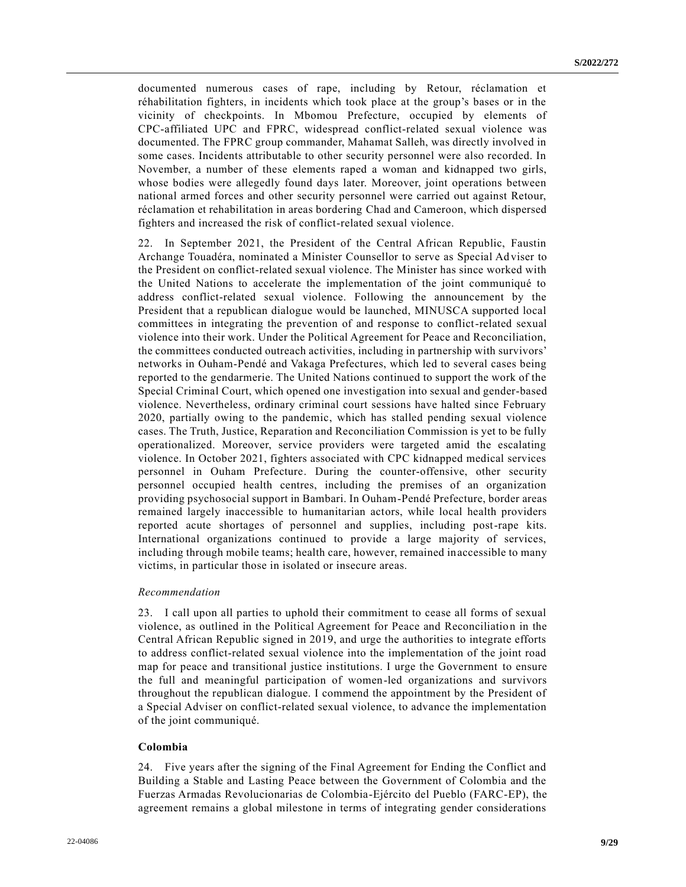documented numerous cases of rape, including by Retour, réclamation et réhabilitation fighters, in incidents which took place at the group's bases or in the vicinity of checkpoints. In Mbomou Prefecture, occupied by elements of CPC-affiliated UPC and FPRC, widespread conflict-related sexual violence was documented. The FPRC group commander, Mahamat Salleh, was directly involved in some cases. Incidents attributable to other security personnel were also recorded. In November, a number of these elements raped a woman and kidnapped two girls, whose bodies were allegedly found days later. Moreover, joint operations between national armed forces and other security personnel were carried out against Retour, réclamation et rehabilitation in areas bordering Chad and Cameroon, which dispersed fighters and increased the risk of conflict-related sexual violence.

22. In September 2021, the President of the Central African Republic, Faustin Archange Touadéra, nominated a Minister Counsellor to serve as Special Ad viser to the President on conflict-related sexual violence. The Minister has since worked with the United Nations to accelerate the implementation of the joint communiqué to address conflict-related sexual violence. Following the announcement by the President that a republican dialogue would be launched, MINUSCA supported local committees in integrating the prevention of and response to conflict-related sexual violence into their work. Under the Political Agreement for Peace and Reconciliation, the committees conducted outreach activities, including in partnership with survivors' networks in Ouham-Pendé and Vakaga Prefectures, which led to several cases being reported to the gendarmerie. The United Nations continued to support the work of the Special Criminal Court, which opened one investigation into sexual and gender-based violence. Nevertheless, ordinary criminal court sessions have halted since February 2020, partially owing to the pandemic, which has stalled pending sexual violence cases. The Truth, Justice, Reparation and Reconciliation Commission is yet to be fully operationalized. Moreover, service providers were targeted amid the escalating violence. In October 2021, fighters associated with CPC kidnapped medical services personnel in Ouham Prefecture. During the counter-offensive, other security personnel occupied health centres, including the premises of an organization providing psychosocial support in Bambari. In Ouham-Pendé Prefecture, border areas remained largely inaccessible to humanitarian actors, while local health providers reported acute shortages of personnel and supplies, including post-rape kits. International organizations continued to provide a large majority of services, including through mobile teams; health care, however, remained inaccessible to many victims, in particular those in isolated or insecure areas.

#### *Recommendation*

23. I call upon all parties to uphold their commitment to cease all forms of sexual violence, as outlined in the Political Agreement for Peace and Reconciliation in the Central African Republic signed in 2019, and urge the authorities to integrate efforts to address conflict-related sexual violence into the implementation of the joint road map for peace and transitional justice institutions. I urge the Government to ensure the full and meaningful participation of women-led organizations and survivors throughout the republican dialogue. I commend the appointment by the President of a Special Adviser on conflict-related sexual violence, to advance the implementation of the joint communiqué.

## **Colombia**

24. Five years after the signing of the Final Agreement for Ending the Conflict and Building a Stable and Lasting Peace between the Government of Colombia and the Fuerzas Armadas Revolucionarias de Colombia-Ejército del Pueblo (FARC-EP), the agreement remains a global milestone in terms of integrating gender considerations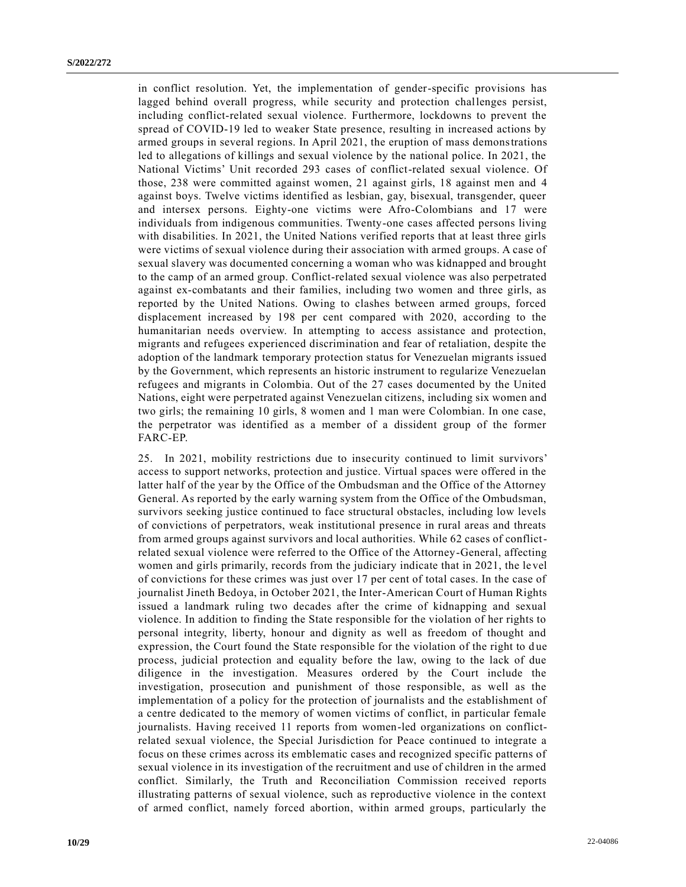in conflict resolution. Yet, the implementation of gender-specific provisions has lagged behind overall progress, while security and protection challenges persist, including conflict-related sexual violence. Furthermore, lockdowns to prevent the spread of COVID-19 led to weaker State presence, resulting in increased actions by armed groups in several regions. In April 2021, the eruption of mass demonstrations led to allegations of killings and sexual violence by the national police. In 2021, the National Victims' Unit recorded 293 cases of conflict-related sexual violence. Of those, 238 were committed against women, 21 against girls, 18 against men and 4 against boys. Twelve victims identified as lesbian, gay, bisexual, transgender, queer and intersex persons. Eighty-one victims were Afro-Colombians and 17 were individuals from indigenous communities. Twenty-one cases affected persons living with disabilities. In 2021, the United Nations verified reports that at least three girls were victims of sexual violence during their association with armed groups. A case of sexual slavery was documented concerning a woman who was kidnapped and brought to the camp of an armed group. Conflict-related sexual violence was also perpetrated against ex-combatants and their families, including two women and three girls, as reported by the United Nations. Owing to clashes between armed groups, forced displacement increased by 198 per cent compared with 2020, according to the humanitarian needs overview. In attempting to access assistance and protection, migrants and refugees experienced discrimination and fear of retaliation, despite the adoption of the landmark temporary protection status for Venezuelan migrants issued by the Government, which represents an historic instrument to regularize Venezuelan refugees and migrants in Colombia. Out of the 27 cases documented by the United Nations, eight were perpetrated against Venezuelan citizens, including six women and two girls; the remaining 10 girls, 8 women and 1 man were Colombian. In one case, the perpetrator was identified as a member of a dissident group of the former FARC-EP.

25. In 2021, mobility restrictions due to insecurity continued to limit survivors' access to support networks, protection and justice. Virtual spaces were offered in the latter half of the year by the Office of the Ombudsman and the Office of the Attorney General. As reported by the early warning system from the Office of the Ombudsman, survivors seeking justice continued to face structural obstacles, including low levels of convictions of perpetrators, weak institutional presence in rural areas and threats from armed groups against survivors and local authorities. While 62 cases of conflictrelated sexual violence were referred to the Office of the Attorney-General, affecting women and girls primarily, records from the judiciary indicate that in 2021, the le vel of convictions for these crimes was just over 17 per cent of total cases. In the case of journalist Jineth Bedoya, in October 2021, the Inter-American Court of Human Rights issued a landmark ruling two decades after the crime of kidnapping and sexual violence. In addition to finding the State responsible for the violation of her rights to personal integrity, liberty, honour and dignity as well as freedom of thought and expression, the Court found the State responsible for the violation of the right to due process, judicial protection and equality before the law, owing to the lack of due diligence in the investigation. Measures ordered by the Court include the investigation, prosecution and punishment of those responsible, as well as the implementation of a policy for the protection of journalists and the establishment of a centre dedicated to the memory of women victims of conflict, in particular female journalists. Having received 11 reports from women-led organizations on conflictrelated sexual violence, the Special Jurisdiction for Peace continued to integrate a focus on these crimes across its emblematic cases and recognized specific patterns of sexual violence in its investigation of the recruitment and use of children in the armed conflict. Similarly, the Truth and Reconciliation Commission received reports illustrating patterns of sexual violence, such as reproductive violence in the context of armed conflict, namely forced abortion, within armed groups, particularly the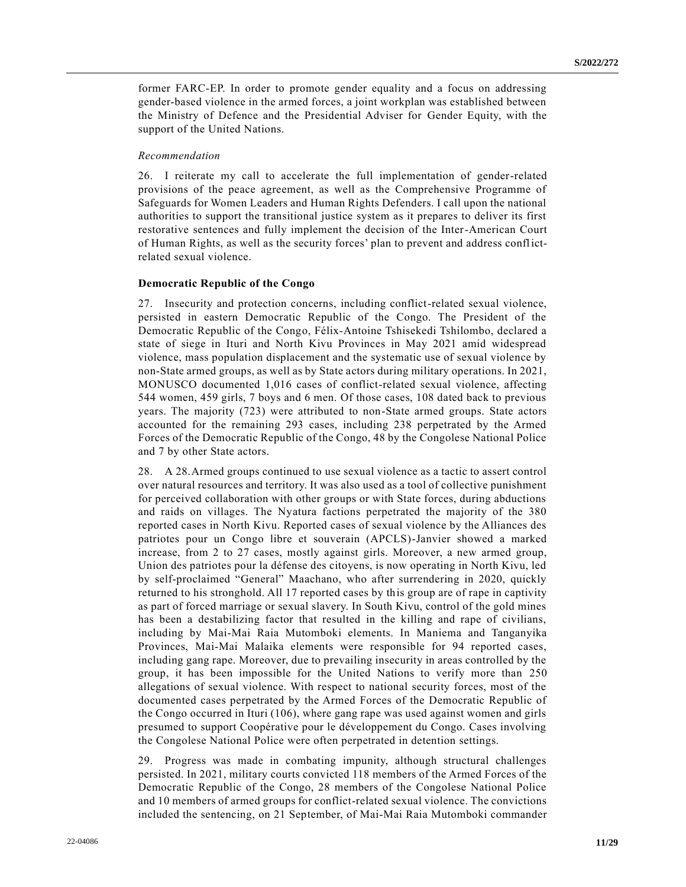former FARC-EP. In order to promote gender equality and a focus on addressing gender-based violence in the armed forces, a joint workplan was established between the Ministry of Defence and the Presidential Adviser for Gender Equity, with the support of the United Nations.

## *Recommendation*

26. I reiterate my call to accelerate the full implementation of gender-related provisions of the peace agreement, as well as the Comprehensive Programme of Safeguards for Women Leaders and Human Rights Defenders. I call upon the national authorities to support the transitional justice system as it prepares to deliver its first restorative sentences and fully implement the decision of the Inter-American Court of Human Rights, as well as the security forces' plan to prevent and address conflictrelated sexual violence.

## **Democratic Republic of the Congo**

27. Insecurity and protection concerns, including conflict-related sexual violence, persisted in eastern Democratic Republic of the Congo. The President of the Democratic Republic of the Congo, Félix-Antoine Tshisekedi Tshilombo, declared a state of siege in Ituri and North Kivu Provinces in May 2021 amid widespread violence, mass population displacement and the systematic use of sexual violence by non-State armed groups, as well as by State actors during military operations. In 2021, MONUSCO documented 1,016 cases of conflict-related sexual violence, affecting 544 women, 459 girls, 7 boys and 6 men. Of those cases, 108 dated back to previous years. The majority (723) were attributed to non-State armed groups. State actors accounted for the remaining 293 cases, including 238 perpetrated by the Armed Forces of the Democratic Republic of the Congo, 48 by the Congolese National Police and 7 by other State actors.

28. A 28.Armed groups continued to use sexual violence as a tactic to assert control over natural resources and territory. It was also used as a tool of collective punishment for perceived collaboration with other groups or with State forces, during abductions and raids on villages. The Nyatura factions perpetrated the majority of the 380 reported cases in North Kivu. Reported cases of sexual violence by the Alliances des patriotes pour un Congo libre et souverain (APCLS)-Janvier showed a marked increase, from 2 to 27 cases, mostly against girls. Moreover, a new armed group, Union des patriotes pour la défense des citoyens, is now operating in North Kivu, led by self-proclaimed "General" Maachano, who after surrendering in 2020, quickly returned to his stronghold. All 17 reported cases by this group are of rape in captivity as part of forced marriage or sexual slavery. In South Kivu, control of the gold mines has been a destabilizing factor that resulted in the killing and rape of civilians, including by Mai-Mai Raia Mutomboki elements. In Maniema and Tanganyika Provinces, Mai-Mai Malaika elements were responsible for 94 reported cases, including gang rape. Moreover, due to prevailing insecurity in areas controlled by the group, it has been impossible for the United Nations to verify more than 250 allegations of sexual violence. With respect to national security forces, most of the documented cases perpetrated by the Armed Forces of the Democratic Republic of the Congo occurred in Ituri (106), where gang rape was used against women and girls presumed to support Coopérative pour le développement du Congo. Cases involving the Congolese National Police were often perpetrated in detention settings.

29. Progress was made in combating impunity, although structural challenges persisted. In 2021, military courts convicted 118 members of the Armed Forces of the Democratic Republic of the Congo, 28 members of the Congolese National Police and 10 members of armed groups for conflict-related sexual violence. The convictions included the sentencing, on 21 September, of Mai-Mai Raia Mutomboki commander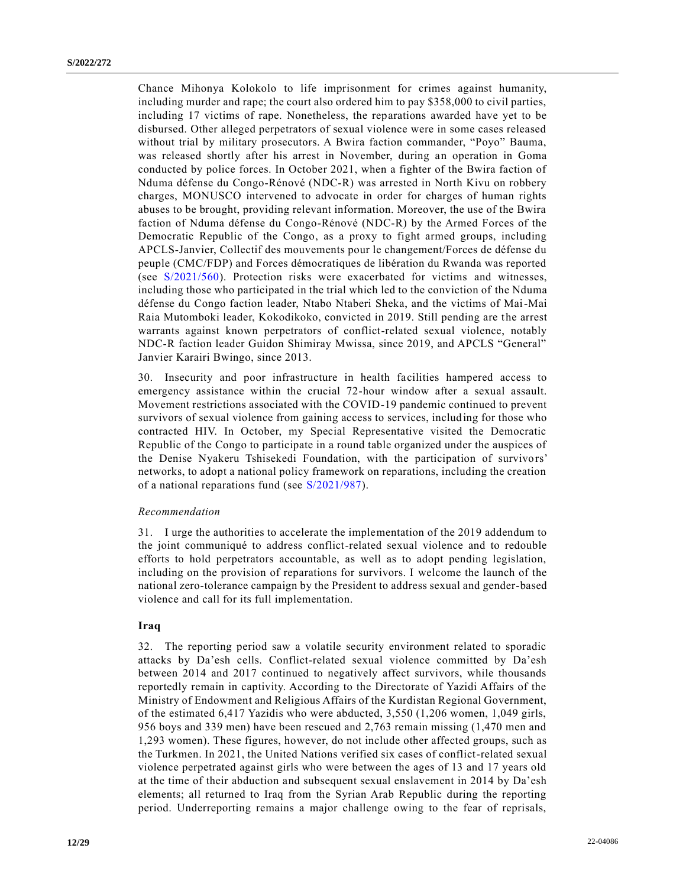Chance Mihonya Kolokolo to life imprisonment for crimes against humanity, including murder and rape; the court also ordered him to pay \$358,000 to civil parties, including 17 victims of rape. Nonetheless, the reparations awarded have yet to be disbursed. Other alleged perpetrators of sexual violence were in some cases released without trial by military prosecutors. A Bwira faction commander, "Poyo" Bauma, was released shortly after his arrest in November, during an operation in Goma conducted by police forces. In October 2021, when a fighter of the Bwira faction of Nduma défense du Congo-Rénové (NDC-R) was arrested in North Kivu on robbery charges, MONUSCO intervened to advocate in order for charges of human rights abuses to be brought, providing relevant information. Moreover, the use of the Bwira faction of Nduma défense du Congo-Rénové (NDC-R) by the Armed Forces of the Democratic Republic of the Congo, as a proxy to fight armed groups, including APCLS-Janvier, Collectif des mouvements pour le changement/Forces de défense du peuple (CMC/FDP) and Forces démocratiques de libération du Rwanda was reported (see [S/2021/560\)](https://undocs.org/en/S/2021/560). Protection risks were exacerbated for victims and witnesses, including those who participated in the trial which led to the conviction of the Nduma défense du Congo faction leader, Ntabo Ntaberi Sheka, and the victims of Mai-Mai Raia Mutomboki leader, Kokodikoko, convicted in 2019. Still pending are the arrest warrants against known perpetrators of conflict-related sexual violence, notably NDC-R faction leader Guidon Shimiray Mwissa, since 2019, and APCLS "General" Janvier Karairi Bwingo, since 2013.

30. Insecurity and poor infrastructure in health facilities hampered access to emergency assistance within the crucial 72-hour window after a sexual assault. Movement restrictions associated with the COVID-19 pandemic continued to prevent survivors of sexual violence from gaining access to services, including for those who contracted HIV. In October, my Special Representative visited the Democratic Republic of the Congo to participate in a round table organized under the auspices of the Denise Nyakeru Tshisekedi Foundation, with the participation of survivors' networks, to adopt a national policy framework on reparations, including the creation of a national reparations fund (see [S/2021/987\)](https://undocs.org/en/S/2021/987).

#### *Recommendation*

31. I urge the authorities to accelerate the implementation of the 2019 addendum to the joint communiqué to address conflict-related sexual violence and to redouble efforts to hold perpetrators accountable, as well as to adopt pending legislation, including on the provision of reparations for survivors. I welcome the launch of the national zero-tolerance campaign by the President to address sexual and gender-based violence and call for its full implementation.

# **Iraq**

32. The reporting period saw a volatile security environment related to sporadic attacks by Da'esh cells. Conflict-related sexual violence committed by Da'esh between 2014 and 2017 continued to negatively affect survivors, while thousands reportedly remain in captivity. According to the Directorate of Yazidi Affairs of the Ministry of Endowment and Religious Affairs of the Kurdistan Regional Government, of the estimated 6,417 Yazidis who were abducted, 3,550 (1,206 women, 1,049 girls, 956 boys and 339 men) have been rescued and 2,763 remain missing (1,470 men and 1,293 women). These figures, however, do not include other affected groups, such as the Turkmen. In 2021, the United Nations verified six cases of conflict-related sexual violence perpetrated against girls who were between the ages of 13 and 17 years old at the time of their abduction and subsequent sexual enslavement in 2014 by Da'esh elements; all returned to Iraq from the Syrian Arab Republic during the reporting period. Underreporting remains a major challenge owing to the fear of reprisals,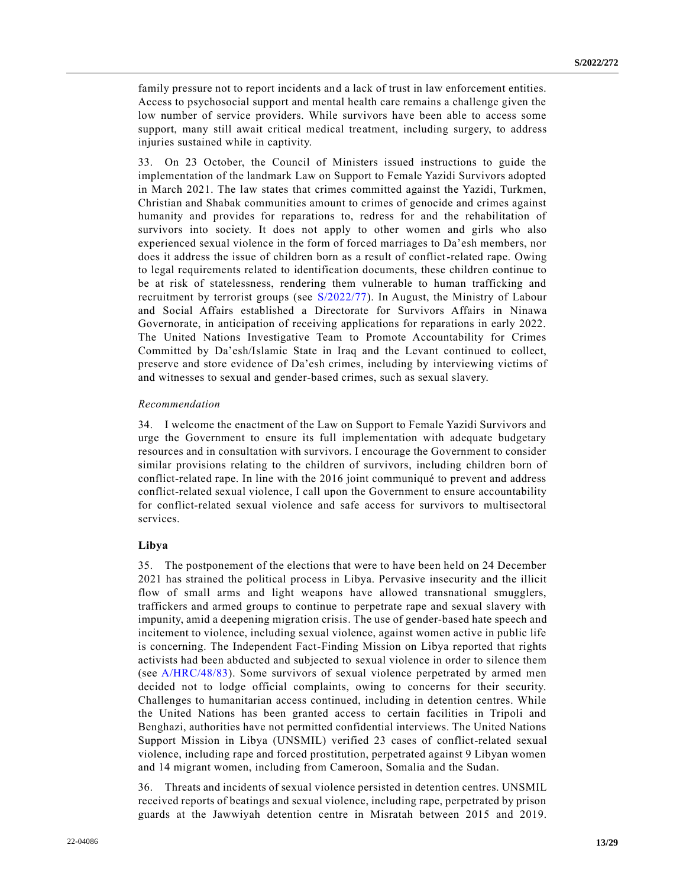family pressure not to report incidents and a lack of trust in law enforcement entities. Access to psychosocial support and mental health care remains a challenge given the low number of service providers. While survivors have been able to access some support, many still await critical medical treatment, including surgery, to address injuries sustained while in captivity.

33. On 23 October, the Council of Ministers issued instructions to guide the implementation of the landmark Law on Support to Female Yazidi Survivors adopted in March 2021. The law states that crimes committed against the Yazidi, Turkmen, Christian and Shabak communities amount to crimes of genocide and crimes against humanity and provides for reparations to, redress for and the rehabilitation of survivors into society. It does not apply to other women and girls who also experienced sexual violence in the form of forced marriages to Da'esh members, nor does it address the issue of children born as a result of conflict-related rape. Owing to legal requirements related to identification documents, these children continue to be at risk of statelessness, rendering them vulnerable to human trafficking and recruitment by terrorist groups (see [S/2022/77\)](https://undocs.org/en/S/2022/77). In August, the Ministry of Labour and Social Affairs established a Directorate for Survivors Affairs in Ninawa Governorate, in anticipation of receiving applications for reparations in early 2022. The United Nations Investigative Team to Promote Accountability for Crimes Committed by Da'esh/Islamic State in Iraq and the Levant continued to collect, preserve and store evidence of Da'esh crimes, including by interviewing victims of and witnesses to sexual and gender-based crimes, such as sexual slavery.

#### *Recommendation*

34. I welcome the enactment of the Law on Support to Female Yazidi Survivors and urge the Government to ensure its full implementation with adequate budgetary resources and in consultation with survivors. I encourage the Government to consider similar provisions relating to the children of survivors, including children born of conflict-related rape. In line with the 2016 joint communiqué to prevent and address conflict-related sexual violence, I call upon the Government to ensure accountability for conflict-related sexual violence and safe access for survivors to multisectoral services.

### **Libya**

35. The postponement of the elections that were to have been held on 24 December 2021 has strained the political process in Libya. Pervasive insecurity and the illicit flow of small arms and light weapons have allowed transnational smugglers, traffickers and armed groups to continue to perpetrate rape and sexual slavery with impunity, amid a deepening migration crisis. The use of gender-based hate speech and incitement to violence, including sexual violence, against women active in public life is concerning. The Independent Fact-Finding Mission on Libya reported that rights activists had been abducted and subjected to sexual violence in order to silence them (see [A/HRC/48/83\)](https://undocs.org/en/A/HRC/48/83). Some survivors of sexual violence perpetrated by armed men decided not to lodge official complaints, owing to concerns for their security. Challenges to humanitarian access continued, including in detention centres. While the United Nations has been granted access to certain facilities in Tripoli and Benghazi, authorities have not permitted confidential interviews. The United Nations Support Mission in Libya (UNSMIL) verified 23 cases of conflict-related sexual violence, including rape and forced prostitution, perpetrated against 9 Libyan women and 14 migrant women, including from Cameroon, Somalia and the Sudan.

36. Threats and incidents of sexual violence persisted in detention centres. UNSMIL received reports of beatings and sexual violence, including rape, perpetrated by prison guards at the Jawwiyah detention centre in Misratah between 2015 and 2019.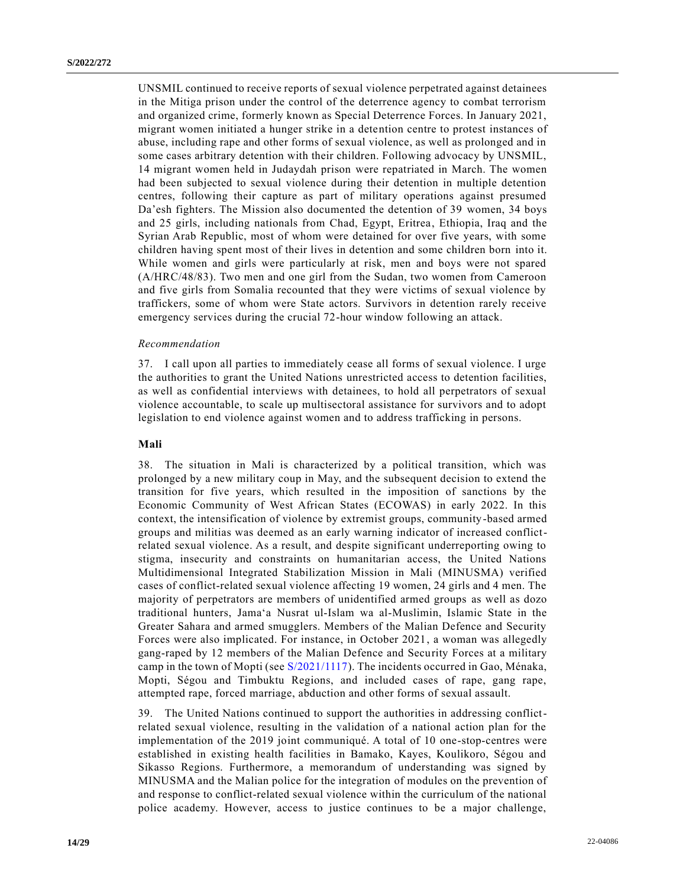UNSMIL continued to receive reports of sexual violence perpetrated against detainees in the Mitiga prison under the control of the deterrence agency to combat terrorism and organized crime, formerly known as Special Deterrence Forces. In January 2021, migrant women initiated a hunger strike in a detention centre to protest instances of abuse, including rape and other forms of sexual violence, as well as prolonged and in some cases arbitrary detention with their children. Following advocacy by UNSMIL, 14 migrant women held in Judaydah prison were repatriated in March. The women had been subjected to sexual violence during their detention in multiple detention centres, following their capture as part of military operations against presumed Da'esh fighters. The Mission also documented the detention of 39 women, 34 boys and 25 girls, including nationals from Chad, Egypt, Eritrea, Ethiopia, Iraq and the Syrian Arab Republic, most of whom were detained for over five years, with some children having spent most of their lives in detention and some children born into it. While women and girls were particularly at risk, men and boys were not spared (A/HRC/48/83). Two men and one girl from the Sudan, two women from Cameroon and five girls from Somalia recounted that they were victims of sexual violence by traffickers, some of whom were State actors. Survivors in detention rarely receive emergency services during the crucial 72-hour window following an attack.

#### *Recommendation*

37. I call upon all parties to immediately cease all forms of sexual violence. I urge the authorities to grant the United Nations unrestricted access to detention facilities, as well as confidential interviews with detainees, to hold all perpetrators of sexual violence accountable, to scale up multisectoral assistance for survivors and to adopt legislation to end violence against women and to address trafficking in persons.

#### **Mali**

38. The situation in Mali is characterized by a political transition, which was prolonged by a new military coup in May, and the subsequent decision to extend the transition for five years, which resulted in the imposition of sanctions by the Economic Community of West African States (ECOWAS) in early 2022. In this context, the intensification of violence by extremist groups, community -based armed groups and militias was deemed as an early warning indicator of increased conflictrelated sexual violence. As a result, and despite significant underreporting owing to stigma, insecurity and constraints on humanitarian access, the United Nations Multidimensional Integrated Stabilization Mission in Mali (MINUSMA) verified cases of conflict-related sexual violence affecting 19 women, 24 girls and 4 men. The majority of perpetrators are members of unidentified armed groups as well as dozo traditional hunters, Jama'a Nusrat ul-Islam wa al-Muslimin, Islamic State in the Greater Sahara and armed smugglers. Members of the Malian Defence and Security Forces were also implicated. For instance, in October 2021, a woman was allegedly gang-raped by 12 members of the Malian Defence and Security Forces at a military camp in the town of Mopti (see [S/2021/1117\)](https://undocs.org/en/S/2021/1117). The incidents occurred in Gao, Ménaka, Mopti, Ségou and Timbuktu Regions, and included cases of rape, gang rape, attempted rape, forced marriage, abduction and other forms of sexual assault.

39. The United Nations continued to support the authorities in addressing conflictrelated sexual violence, resulting in the validation of a national action plan for the implementation of the 2019 joint communiqué. A total of 10 one-stop-centres were established in existing health facilities in Bamako, Kayes, Koulikoro, Ségou and Sikasso Regions. Furthermore, a memorandum of understanding was signed by MINUSMA and the Malian police for the integration of modules on the prevention of and response to conflict-related sexual violence within the curriculum of the national police academy. However, access to justice continues to be a major challenge,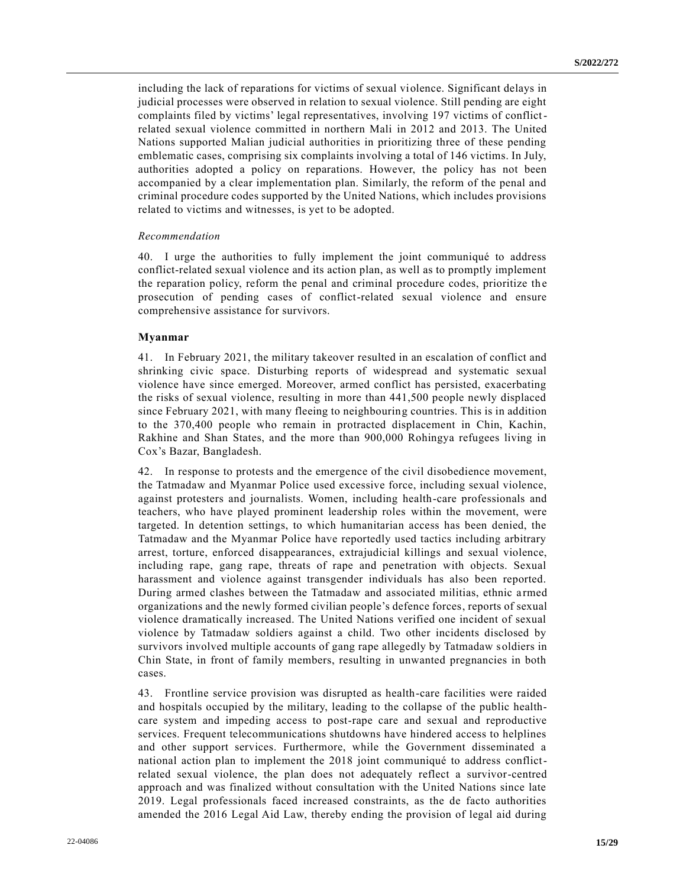including the lack of reparations for victims of sexual violence. Significant delays in judicial processes were observed in relation to sexual violence. Still pending are eight complaints filed by victims' legal representatives, involving 197 victims of conflictrelated sexual violence committed in northern Mali in 2012 and 2013. The United Nations supported Malian judicial authorities in prioritizing three of these pending emblematic cases, comprising six complaints involving a total of 146 victims. In July, authorities adopted a policy on reparations. However, the policy has not been accompanied by a clear implementation plan. Similarly, the reform of the penal and criminal procedure codes supported by the United Nations, which includes provisions related to victims and witnesses, is yet to be adopted.

#### *Recommendation*

40. I urge the authorities to fully implement the joint communiqué to address conflict-related sexual violence and its action plan, as well as to promptly implement the reparation policy, reform the penal and criminal procedure codes, prioritize the prosecution of pending cases of conflict-related sexual violence and ensure comprehensive assistance for survivors.

## **Myanmar**

41. In February 2021, the military takeover resulted in an escalation of conflict and shrinking civic space. Disturbing reports of widespread and systematic sexual violence have since emerged. Moreover, armed conflict has persisted, exacerbating the risks of sexual violence, resulting in more than 441,500 people newly displaced since February 2021, with many fleeing to neighbouring countries. This is in addition to the 370,400 people who remain in protracted displacement in Chin, Kachin, Rakhine and Shan States, and the more than 900,000 Rohingya refugees living in Cox's Bazar, Bangladesh.

42. In response to protests and the emergence of the civil disobedience movement, the Tatmadaw and Myanmar Police used excessive force, including sexual violence, against protesters and journalists. Women, including health-care professionals and teachers, who have played prominent leadership roles within the movement, were targeted. In detention settings, to which humanitarian access has been denied, the Tatmadaw and the Myanmar Police have reportedly used tactics including arbitrary arrest, torture, enforced disappearances, extrajudicial killings and sexual violence, including rape, gang rape, threats of rape and penetration with objects. Sexual harassment and violence against transgender individuals has also been reported. During armed clashes between the Tatmadaw and associated militias, ethnic armed organizations and the newly formed civilian people's defence forces, reports of sexual violence dramatically increased. The United Nations verified one incident of sexual violence by Tatmadaw soldiers against a child. Two other incidents disclosed by survivors involved multiple accounts of gang rape allegedly by Tatmadaw soldiers in Chin State, in front of family members, resulting in unwanted pregnancies in both cases.

43. Frontline service provision was disrupted as health-care facilities were raided and hospitals occupied by the military, leading to the collapse of the public healthcare system and impeding access to post-rape care and sexual and reproductive services. Frequent telecommunications shutdowns have hindered access to helplines and other support services. Furthermore, while the Government disseminated a national action plan to implement the 2018 joint communiqué to address conflictrelated sexual violence, the plan does not adequately reflect a survivor-centred approach and was finalized without consultation with the United Nations since late 2019. Legal professionals faced increased constraints, as the de facto authorities amended the 2016 Legal Aid Law, thereby ending the provision of legal aid during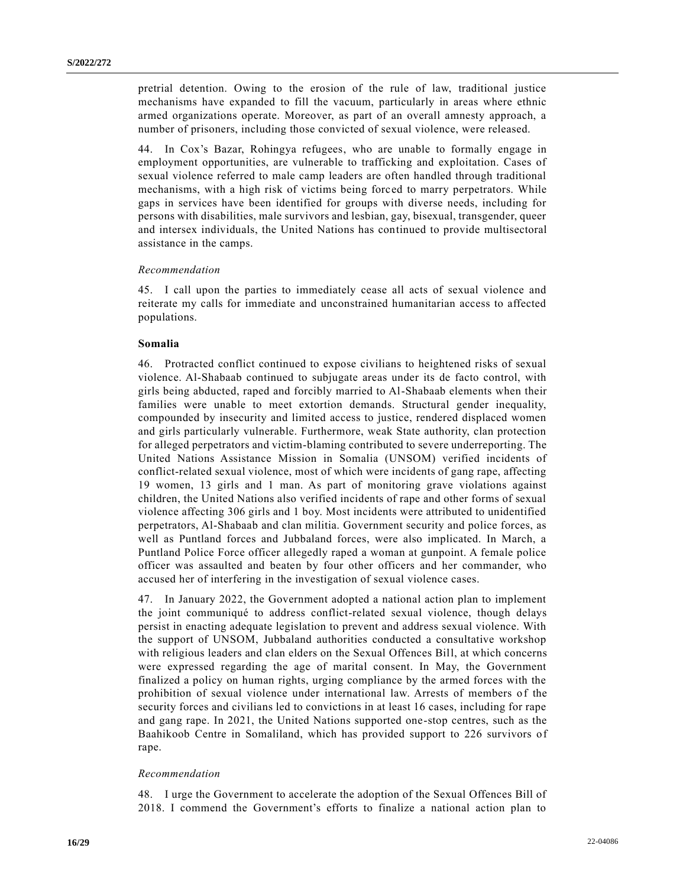pretrial detention. Owing to the erosion of the rule of law, traditional justice mechanisms have expanded to fill the vacuum, particularly in areas where ethnic armed organizations operate. Moreover, as part of an overall amnesty approach, a number of prisoners, including those convicted of sexual violence, were released.

44. In Cox's Bazar, Rohingya refugees, who are unable to formally engage in employment opportunities, are vulnerable to trafficking and exploitation. Cases of sexual violence referred to male camp leaders are often handled through traditional mechanisms, with a high risk of victims being forced to marry perpetrators. While gaps in services have been identified for groups with diverse needs, including for persons with disabilities, male survivors and lesbian, gay, bisexual, transgender, queer and intersex individuals, the United Nations has continued to provide multisectoral assistance in the camps.

### *Recommendation*

45. I call upon the parties to immediately cease all acts of sexual violence and reiterate my calls for immediate and unconstrained humanitarian access to affected populations.

# **Somalia**

46. Protracted conflict continued to expose civilians to heightened risks of sexual violence. Al-Shabaab continued to subjugate areas under its de facto control, with girls being abducted, raped and forcibly married to Al-Shabaab elements when their families were unable to meet extortion demands. Structural gender inequality, compounded by insecurity and limited access to justice, rendered displaced women and girls particularly vulnerable. Furthermore, weak State authority, clan protection for alleged perpetrators and victim-blaming contributed to severe underreporting. The United Nations Assistance Mission in Somalia (UNSOM) verified incidents of conflict-related sexual violence, most of which were incidents of gang rape, affecting 19 women, 13 girls and 1 man. As part of monitoring grave violations against children, the United Nations also verified incidents of rape and other forms of sexual violence affecting 306 girls and 1 boy. Most incidents were attributed to unidentified perpetrators, Al-Shabaab and clan militia. Government security and police forces, as well as Puntland forces and Jubbaland forces, were also implicated. In March, a Puntland Police Force officer allegedly raped a woman at gunpoint. A female police officer was assaulted and beaten by four other officers and her commander, who accused her of interfering in the investigation of sexual violence cases.

47. In January 2022, the Government adopted a national action plan to implement the joint communiqué to address conflict-related sexual violence, though delays persist in enacting adequate legislation to prevent and address sexual violence. With the support of UNSOM, Jubbaland authorities conducted a consultative workshop with religious leaders and clan elders on the Sexual Offences Bill, at which concerns were expressed regarding the age of marital consent. In May, the Government finalized a policy on human rights, urging compliance by the armed forces with the prohibition of sexual violence under international law. Arrests of members of the security forces and civilians led to convictions in at least 16 cases, including for rape and gang rape. In 2021, the United Nations supported one-stop centres, such as the Baahikoob Centre in Somaliland, which has provided support to 226 survivors of rape.

#### *Recommendation*

48. I urge the Government to accelerate the adoption of the Sexual Offences Bill of 2018. I commend the Government's efforts to finalize a national action plan to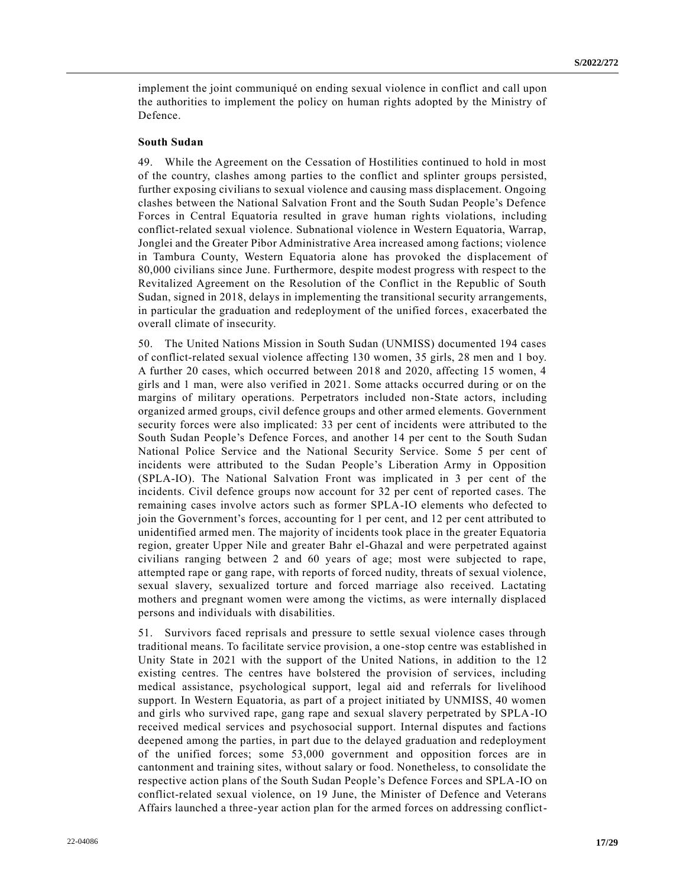implement the joint communiqué on ending sexual violence in conflict and call upon the authorities to implement the policy on human rights adopted by the Ministry of Defence.

### **South Sudan**

49. While the Agreement on the Cessation of Hostilities continued to hold in most of the country, clashes among parties to the conflict and splinter groups persisted, further exposing civilians to sexual violence and causing mass displacement. Ongoing clashes between the National Salvation Front and the South Sudan People's Defence Forces in Central Equatoria resulted in grave human rights violations, including conflict-related sexual violence. Subnational violence in Western Equatoria, Warrap, Jonglei and the Greater Pibor Administrative Area increased among factions; violence in Tambura County, Western Equatoria alone has provoked the displacement of 80,000 civilians since June. Furthermore, despite modest progress with respect to the Revitalized Agreement on the Resolution of the Conflict in the Republic of South Sudan, signed in 2018, delays in implementing the transitional security arrangements, in particular the graduation and redeployment of the unified forces, exacerbated the overall climate of insecurity.

50. The United Nations Mission in South Sudan (UNMISS) documented 194 cases of conflict-related sexual violence affecting 130 women, 35 girls, 28 men and 1 boy. A further 20 cases, which occurred between 2018 and 2020, affecting 15 women, 4 girls and 1 man, were also verified in 2021. Some attacks occurred during or on the margins of military operations. Perpetrators included non-State actors, including organized armed groups, civil defence groups and other armed elements. Government security forces were also implicated: 33 per cent of incidents were attributed to the South Sudan People's Defence Forces, and another 14 per cent to the South Sudan National Police Service and the National Security Service. Some 5 per cent of incidents were attributed to the Sudan People's Liberation Army in Opposition (SPLA-IO). The National Salvation Front was implicated in 3 per cent of the incidents. Civil defence groups now account for 32 per cent of reported cases. The remaining cases involve actors such as former SPLA-IO elements who defected to join the Government's forces, accounting for 1 per cent, and 12 per cent attributed to unidentified armed men. The majority of incidents took place in the greater Equatoria region, greater Upper Nile and greater Bahr el-Ghazal and were perpetrated against civilians ranging between 2 and 60 years of age; most were subjected to rape, attempted rape or gang rape, with reports of forced nudity, threats of sexual violence, sexual slavery, sexualized torture and forced marriage also received. Lactating mothers and pregnant women were among the victims, as were internally displaced persons and individuals with disabilities.

51. Survivors faced reprisals and pressure to settle sexual violence cases through traditional means. To facilitate service provision, a one-stop centre was established in Unity State in 2021 with the support of the United Nations, in addition to the 12 existing centres. The centres have bolstered the provision of services, including medical assistance, psychological support, legal aid and referrals for livelihood support. In Western Equatoria, as part of a project initiated by UNMISS, 40 women and girls who survived rape, gang rape and sexual slavery perpetrated by SPLA-IO received medical services and psychosocial support. Internal disputes and factions deepened among the parties, in part due to the delayed graduation and redeployment of the unified forces; some 53,000 government and opposition forces are in cantonment and training sites, without salary or food. Nonetheless, to consolidate the respective action plans of the South Sudan People's Defence Forces and SPLA-IO on conflict-related sexual violence, on 19 June, the Minister of Defence and Veterans Affairs launched a three-year action plan for the armed forces on addressing conflict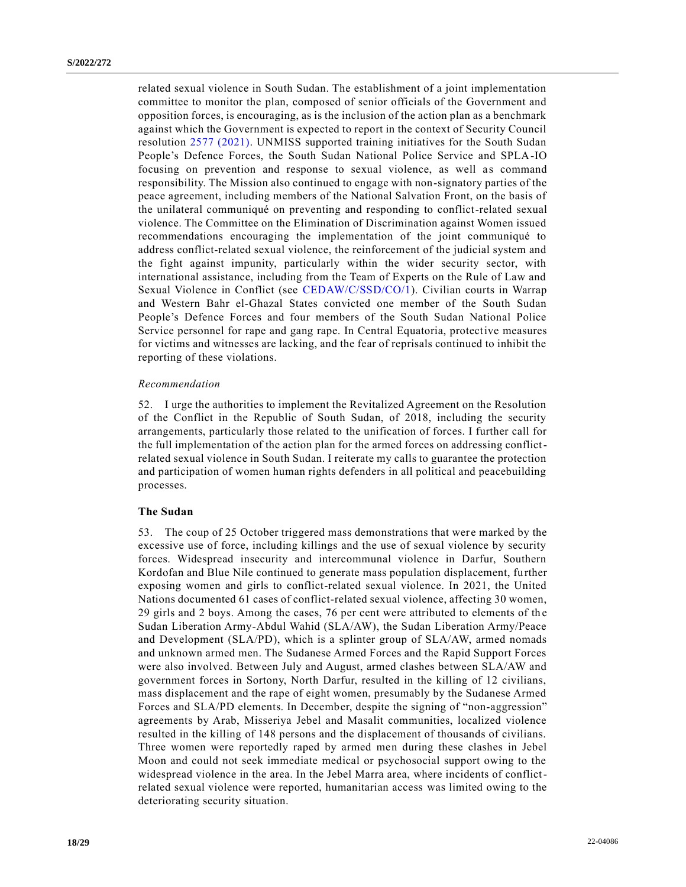related sexual violence in South Sudan. The establishment of a joint implementation committee to monitor the plan, composed of senior officials of the Government and opposition forces, is encouraging, as is the inclusion of the action plan as a benchmark against which the Government is expected to report in the context of Security Council resolution [2577 \(2021\).](https://undocs.org/en/S/RES/2577(2021)) UNMISS supported training initiatives for the South Sudan People's Defence Forces, the South Sudan National Police Service and SPLA-IO focusing on prevention and response to sexual violence, as well as command responsibility. The Mission also continued to engage with non-signatory parties of the peace agreement, including members of the National Salvation Front, on the basis of the unilateral communiqué on preventing and responding to conflict-related sexual violence. The Committee on the Elimination of Discrimination against Women issued recommendations encouraging the implementation of the joint communiqué to address conflict-related sexual violence, the reinforcement of the judicial system and the fight against impunity, particularly within the wider security sector, with international assistance, including from the Team of Experts on the Rule of Law and Sexual Violence in Conflict (see [CEDAW/C/SSD/CO/1\)](https://undocs.org/en/CEDAW/C/SSD/CO/1). Civilian courts in Warrap and Western Bahr el-Ghazal States convicted one member of the South Sudan People's Defence Forces and four members of the South Sudan National Police Service personnel for rape and gang rape. In Central Equatoria, protective measures for victims and witnesses are lacking, and the fear of reprisals continued to inhibit the reporting of these violations.

#### *Recommendation*

52. I urge the authorities to implement the Revitalized Agreement on the Resolution of the Conflict in the Republic of South Sudan, of 2018, including the security arrangements, particularly those related to the unification of forces. I further call for the full implementation of the action plan for the armed forces on addressing conflictrelated sexual violence in South Sudan. I reiterate my calls to guarantee the protection and participation of women human rights defenders in all political and peacebuilding processes.

#### **The Sudan**

53. The coup of 25 October triggered mass demonstrations that were marked by the excessive use of force, including killings and the use of sexual violence by security forces. Widespread insecurity and intercommunal violence in Darfur, Southern Kordofan and Blue Nile continued to generate mass population displacement, further exposing women and girls to conflict-related sexual violence. In 2021, the United Nations documented 61 cases of conflict-related sexual violence, affecting 30 women, 29 girls and 2 boys. Among the cases, 76 per cent were attributed to elements of th e Sudan Liberation Army-Abdul Wahid (SLA/AW), the Sudan Liberation Army/Peace and Development (SLA/PD), which is a splinter group of SLA/AW, armed nomads and unknown armed men. The Sudanese Armed Forces and the Rapid Support Forces were also involved. Between July and August, armed clashes between SLA/AW and government forces in Sortony, North Darfur, resulted in the killing of 12 civilians, mass displacement and the rape of eight women, presumably by the Sudanese Armed Forces and SLA/PD elements. In December, despite the signing of "non-aggression" agreements by Arab, Misseriya Jebel and Masalit communities, localized violence resulted in the killing of 148 persons and the displacement of thousands of civilians. Three women were reportedly raped by armed men during these clashes in Jebel Moon and could not seek immediate medical or psychosocial support owing to the widespread violence in the area. In the Jebel Marra area, where incidents of conflictrelated sexual violence were reported, humanitarian access was limited owing to the deteriorating security situation.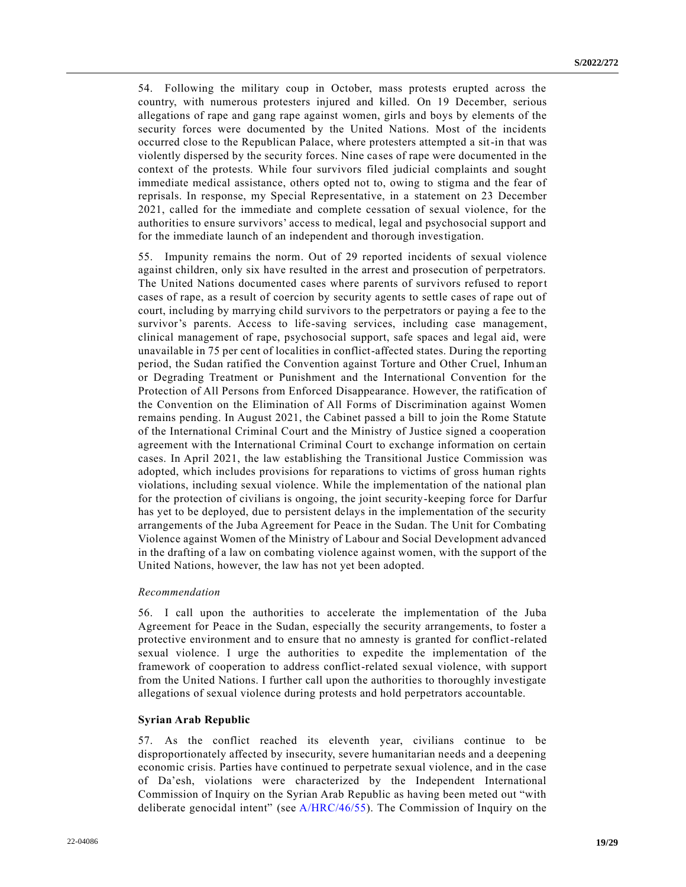54. Following the military coup in October, mass protests erupted across the country, with numerous protesters injured and killed. On 19 December, serious allegations of rape and gang rape against women, girls and boys by elements of the security forces were documented by the United Nations. Most of the incidents occurred close to the Republican Palace, where protesters attempted a sit-in that was violently dispersed by the security forces. Nine cases of rape were documented in the context of the protests. While four survivors filed judicial complaints and sought immediate medical assistance, others opted not to, owing to stigma and the fear of reprisals. In response, my Special Representative, in a statement on 23 December 2021, called for the immediate and complete cessation of sexual violence, for the authorities to ensure survivors' access to medical, legal and psychosocial support and for the immediate launch of an independent and thorough investigation.

55. Impunity remains the norm. Out of 29 reported incidents of sexual violence against children, only six have resulted in the arrest and prosecution of perpetrators. The United Nations documented cases where parents of survivors refused to report cases of rape, as a result of coercion by security agents to settle cases of rape out of court, including by marrying child survivors to the perpetrators or paying a fee to the survivor's parents. Access to life-saving services, including case management, clinical management of rape, psychosocial support, safe spaces and legal aid, were unavailable in 75 per cent of localities in conflict-affected states. During the reporting period, the Sudan ratified the Convention against Torture and Other Cruel, Inhuman or Degrading Treatment or Punishment and the International Convention for the Protection of All Persons from Enforced Disappearance. However, the ratification of the Convention on the Elimination of All Forms of Discrimination against Women remains pending. In August 2021, the Cabinet passed a bill to join the Rome Statute of the International Criminal Court and the Ministry of Justice signed a cooperation agreement with the International Criminal Court to exchange information on certain cases. In April 2021, the law establishing the Transitional Justice Commission was adopted, which includes provisions for reparations to victims of gross human rights violations, including sexual violence. While the implementation of the national plan for the protection of civilians is ongoing, the joint security-keeping force for Darfur has yet to be deployed, due to persistent delays in the implementation of the security arrangements of the Juba Agreement for Peace in the Sudan. The Unit for Combating Violence against Women of the Ministry of Labour and Social Development advanced in the drafting of a law on combating violence against women, with the support of the United Nations, however, the law has not yet been adopted.

#### *Recommendation*

56. I call upon the authorities to accelerate the implementation of the Juba Agreement for Peace in the Sudan, especially the security arrangements, to foster a protective environment and to ensure that no amnesty is granted for conflict-related sexual violence. I urge the authorities to expedite the implementation of the framework of cooperation to address conflict-related sexual violence, with support from the United Nations. I further call upon the authorities to thoroughly investigate allegations of sexual violence during protests and hold perpetrators accountable.

#### **Syrian Arab Republic**

57. As the conflict reached its eleventh year, civilians continue to be disproportionately affected by insecurity, severe humanitarian needs and a deepening economic crisis. Parties have continued to perpetrate sexual violence, and in the case of Da'esh, violations were characterized by the Independent International Commission of Inquiry on the Syrian Arab Republic as having been meted out "with deliberate genocidal intent" (see [A/HRC/46/55\)](https://undocs.org/en/A/HRC/46/55). The Commission of Inquiry on the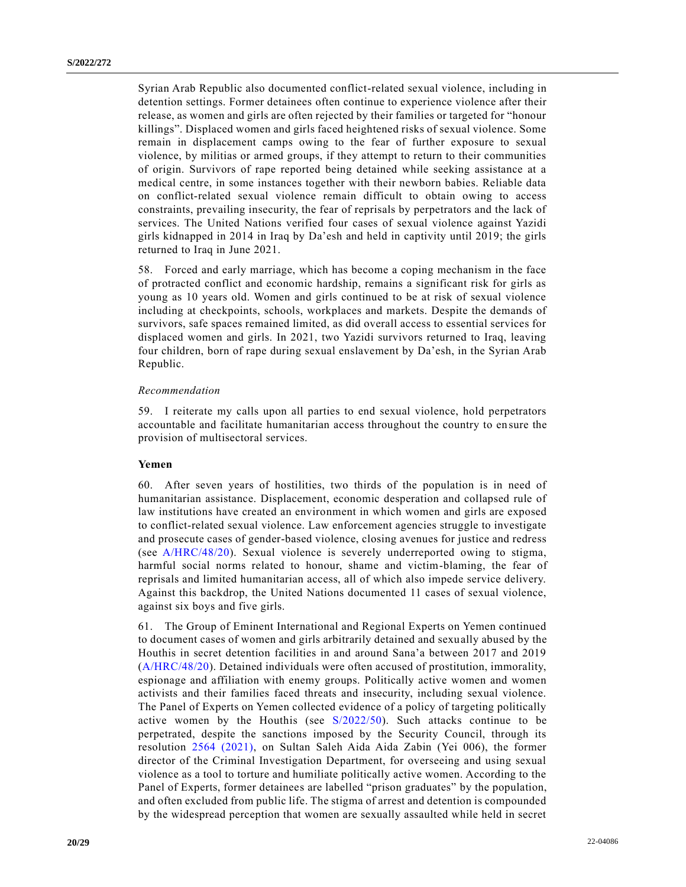Syrian Arab Republic also documented conflict-related sexual violence, including in detention settings. Former detainees often continue to experience violence after their release, as women and girls are often rejected by their families or targeted for "honour killings". Displaced women and girls faced heightened risks of sexual violence. Some remain in displacement camps owing to the fear of further exposure to sexual violence, by militias or armed groups, if they attempt to return to their communities of origin. Survivors of rape reported being detained while seeking assistance at a medical centre, in some instances together with their newborn babies. Reliable data on conflict-related sexual violence remain difficult to obtain owing to access constraints, prevailing insecurity, the fear of reprisals by perpetrators and the lack of services. The United Nations verified four cases of sexual violence against Yazidi girls kidnapped in 2014 in Iraq by Da'esh and held in captivity until 2019; the girls returned to Iraq in June 2021.

58. Forced and early marriage, which has become a coping mechanism in the face of protracted conflict and economic hardship, remains a significant risk for girls as young as 10 years old. Women and girls continued to be at risk of sexual violence including at checkpoints, schools, workplaces and markets. Despite the demands of survivors, safe spaces remained limited, as did overall access to essential services for displaced women and girls. In 2021, two Yazidi survivors returned to Iraq, leaving four children, born of rape during sexual enslavement by Da'esh, in the Syrian Arab Republic.

## *Recommendation*

59. I reiterate my calls upon all parties to end sexual violence, hold perpetrators accountable and facilitate humanitarian access throughout the country to en sure the provision of multisectoral services.

## **Yemen**

60. After seven years of hostilities, two thirds of the population is in need of humanitarian assistance. Displacement, economic desperation and collapsed rule of law institutions have created an environment in which women and girls are exposed to conflict-related sexual violence. Law enforcement agencies struggle to investigate and prosecute cases of gender-based violence, closing avenues for justice and redress (see [A/HRC/48/20\)](https://undocs.org/en/A/HRC/48/20). Sexual violence is severely underreported owing to stigma, harmful social norms related to honour, shame and victim-blaming, the fear of reprisals and limited humanitarian access, all of which also impede service delivery. Against this backdrop, the United Nations documented 11 cases of sexual violence, against six boys and five girls.

61. The Group of Eminent International and Regional Experts on Yemen continued to document cases of women and girls arbitrarily detained and sexually abused by the Houthis in secret detention facilities in and around Sana'a between 2017 and 2019 [\(A/HRC/48/20\)](https://undocs.org/en/A/HRC/48/20). Detained individuals were often accused of prostitution, immorality, espionage and affiliation with enemy groups. Politically active women and women activists and their families faced threats and insecurity, including sexual violence. The Panel of Experts on Yemen collected evidence of a policy of targeting politically active women by the Houthis (see [S/2022/50\)](https://undocs.org/en/S/2022/50). Such attacks continue to be perpetrated, despite the sanctions imposed by the Security Council, through its resolution [2564 \(2021\),](https://undocs.org/en/S/RES/2564(2021)) on Sultan Saleh Aida Aida Zabin (Yei 006), the former director of the Criminal Investigation Department, for overseeing and using sexual violence as a tool to torture and humiliate politically active women. According to the Panel of Experts, former detainees are labelled "prison graduates" by the population, and often excluded from public life. The stigma of arrest and detention is compounded by the widespread perception that women are sexually assaulted while held in secret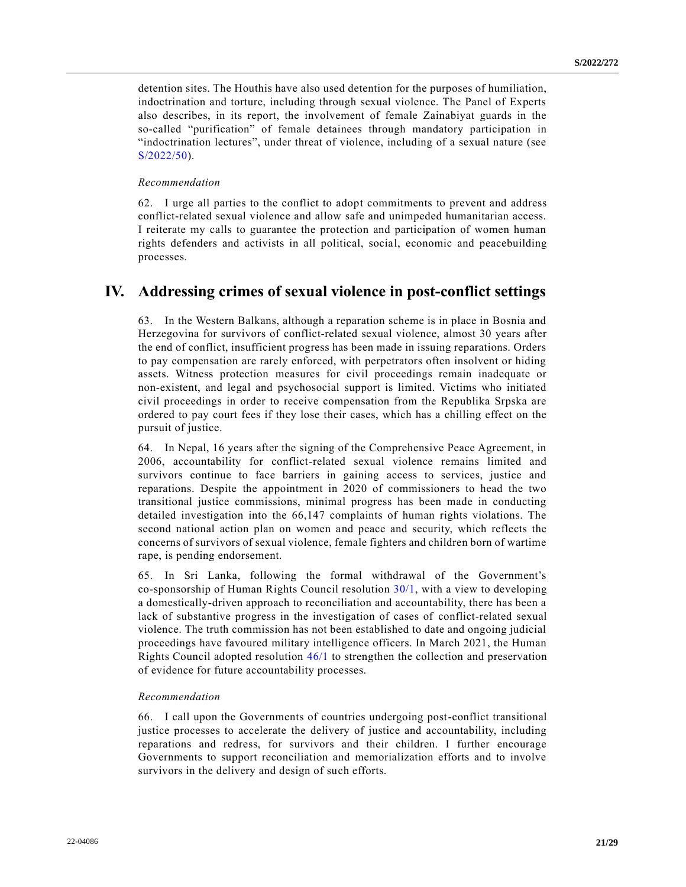detention sites. The Houthis have also used detention for the purposes of humiliation, indoctrination and torture, including through sexual violence. The Panel of Experts also describes, in its report, the involvement of female Zainabiyat guards in the so-called "purification" of female detainees through mandatory participation in "indoctrination lectures", under threat of violence, including of a sexual nature (see [S/2022/50\)](https://undocs.org/en/S/2022/50).

#### *Recommendation*

62. I urge all parties to the conflict to adopt commitments to prevent and address conflict-related sexual violence and allow safe and unimpeded humanitarian access. I reiterate my calls to guarantee the protection and participation of women human rights defenders and activists in all political, social, economic and peacebuilding processes.

# **IV. Addressing crimes of sexual violence in post-conflict settings**

63. In the Western Balkans, although a reparation scheme is in place in Bosnia and Herzegovina for survivors of conflict-related sexual violence, almost 30 years after the end of conflict, insufficient progress has been made in issuing reparations. Orders to pay compensation are rarely enforced, with perpetrators often insolvent or hiding assets. Witness protection measures for civil proceedings remain inadequate or non-existent, and legal and psychosocial support is limited. Victims who initiated civil proceedings in order to receive compensation from the Republika Srpska are ordered to pay court fees if they lose their cases, which has a chilling effect on the pursuit of justice.

64. In Nepal, 16 years after the signing of the Comprehensive Peace Agreement, in 2006, accountability for conflict-related sexual violence remains limited and survivors continue to face barriers in gaining access to services, justice and reparations. Despite the appointment in 2020 of commissioners to head the two transitional justice commissions, minimal progress has been made in conducting detailed investigation into the 66,147 complaints of human rights violations. The second national action plan on women and peace and security, which reflects the concerns of survivors of sexual violence, female fighters and children born of wartime rape, is pending endorsement.

65. In Sri Lanka, following the formal withdrawal of the Government's co-sponsorship of Human Rights Council resolution  $30/1$ , with a view to developing a domestically-driven approach to reconciliation and accountability, there has been a lack of substantive progress in the investigation of cases of conflict-related sexual violence. The truth commission has not been established to date and ongoing judicial proceedings have favoured military intelligence officers. In March 2021, the Human Rights Council adopted resolution [46/1](https://undocs.org/en/A/hrc/RES/46/1) to strengthen the collection and preservation of evidence for future accountability processes.

### *Recommendation*

66. I call upon the Governments of countries undergoing post-conflict transitional justice processes to accelerate the delivery of justice and accountability, including reparations and redress, for survivors and their children. I further encourage Governments to support reconciliation and memorialization efforts and to involve survivors in the delivery and design of such efforts.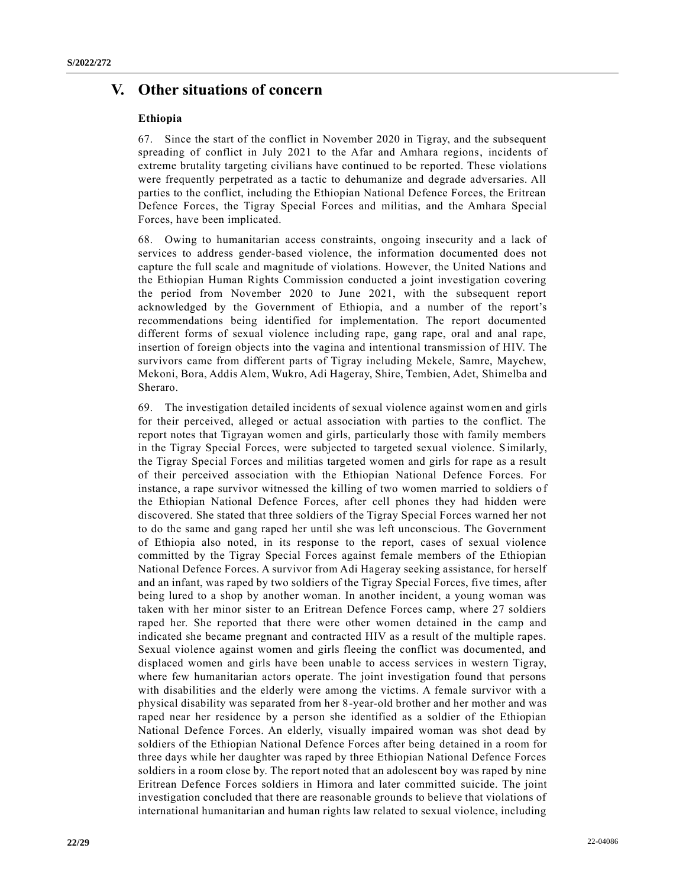# **V. Other situations of concern**

# **Ethiopia**

67. Since the start of the conflict in November 2020 in Tigray, and the subsequent spreading of conflict in July 2021 to the Afar and Amhara regions, incidents of extreme brutality targeting civilians have continued to be reported. These violations were frequently perpetrated as a tactic to dehumanize and degrade adversaries. All parties to the conflict, including the Ethiopian National Defence Forces, the Eritrean Defence Forces, the Tigray Special Forces and militias, and the Amhara Special Forces, have been implicated.

68. Owing to humanitarian access constraints, ongoing insecurity and a lack of services to address gender-based violence, the information documented does not capture the full scale and magnitude of violations. However, the United Nations and the Ethiopian Human Rights Commission conducted a joint investigation covering the period from November 2020 to June 2021, with the subsequent report acknowledged by the Government of Ethiopia, and a number of the report's recommendations being identified for implementation. The report documented different forms of sexual violence including rape, gang rape, oral and anal rape, insertion of foreign objects into the vagina and intentional transmission of HIV. The survivors came from different parts of Tigray including Mekele, Samre, Maychew, Mekoni, Bora, Addis Alem, Wukro, Adi Hageray, Shire, Tembien, Adet, Shimelba and Sheraro.

69. The investigation detailed incidents of sexual violence against women and girls for their perceived, alleged or actual association with parties to the conflict. The report notes that Tigrayan women and girls, particularly those with family members in the Tigray Special Forces, were subjected to targeted sexual violence. Similarly, the Tigray Special Forces and militias targeted women and girls for rape as a result of their perceived association with the Ethiopian National Defence Forces. For instance, a rape survivor witnessed the killing of two women married to soldiers of the Ethiopian National Defence Forces, after cell phones they had hidden were discovered. She stated that three soldiers of the Tigray Special Forces warned her not to do the same and gang raped her until she was left unconscious. The Government of Ethiopia also noted, in its response to the report, cases of sexual violence committed by the Tigray Special Forces against female members of the Ethiopian National Defence Forces. A survivor from Adi Hageray seeking assistance, for herself and an infant, was raped by two soldiers of the Tigray Special Forces, five times, after being lured to a shop by another woman. In another incident, a young woman was taken with her minor sister to an Eritrean Defence Forces camp, where 27 soldiers raped her. She reported that there were other women detained in the camp and indicated she became pregnant and contracted HIV as a result of the multiple rapes. Sexual violence against women and girls fleeing the conflict was documented, and displaced women and girls have been unable to access services in western Tigray, where few humanitarian actors operate. The joint investigation found that persons with disabilities and the elderly were among the victims. A female survivor with a physical disability was separated from her 8-year-old brother and her mother and was raped near her residence by a person she identified as a soldier of the Ethiopian National Defence Forces. An elderly, visually impaired woman was shot dead by soldiers of the Ethiopian National Defence Forces after being detained in a room for three days while her daughter was raped by three Ethiopian National Defence Forces soldiers in a room close by. The report noted that an adolescent boy was raped by nine Eritrean Defence Forces soldiers in Himora and later committed suicide. The joint investigation concluded that there are reasonable grounds to believe that violations of international humanitarian and human rights law related to sexual violence, including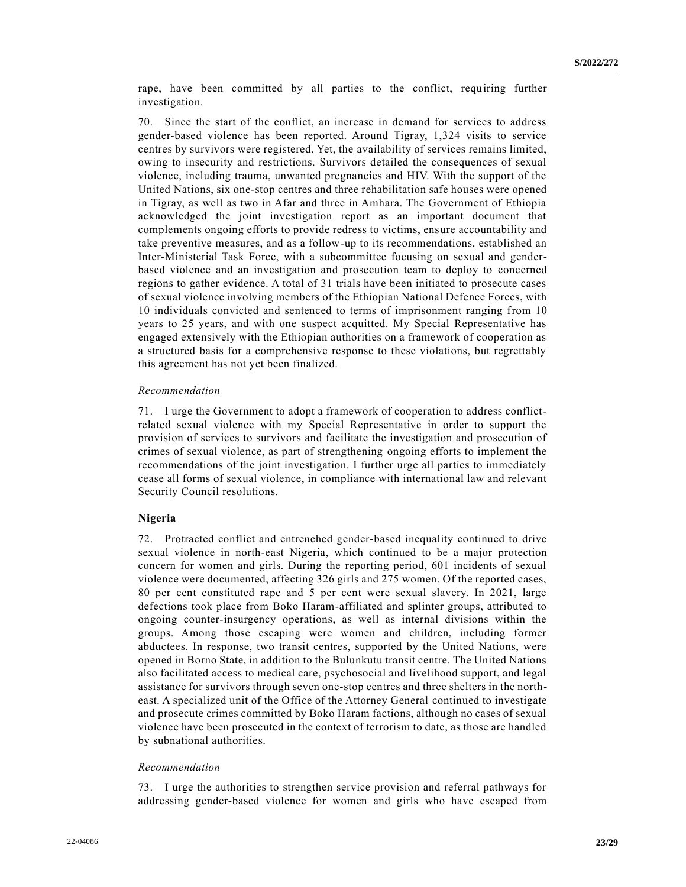rape, have been committed by all parties to the conflict, requiring further investigation.

70. Since the start of the conflict, an increase in demand for services to address gender-based violence has been reported. Around Tigray, 1,324 visits to service centres by survivors were registered. Yet, the availability of services remains limited, owing to insecurity and restrictions. Survivors detailed the consequences of sexual violence, including trauma, unwanted pregnancies and HIV. With the support of the United Nations, six one-stop centres and three rehabilitation safe houses were opened in Tigray, as well as two in Afar and three in Amhara. The Government of Ethiopia acknowledged the joint investigation report as an important document that complements ongoing efforts to provide redress to victims, ensure accountability and take preventive measures, and as a follow-up to its recommendations, established an Inter-Ministerial Task Force, with a subcommittee focusing on sexual and genderbased violence and an investigation and prosecution team to deploy to concerned regions to gather evidence. A total of 31 trials have been initiated to prosecute cases of sexual violence involving members of the Ethiopian National Defence Forces, with 10 individuals convicted and sentenced to terms of imprisonment ranging from 10 years to 25 years, and with one suspect acquitted. My Special Representative has engaged extensively with the Ethiopian authorities on a framework of cooperation as a structured basis for a comprehensive response to these violations, but regrettably this agreement has not yet been finalized.

## *Recommendation*

71. I urge the Government to adopt a framework of cooperation to address conflictrelated sexual violence with my Special Representative in order to support the provision of services to survivors and facilitate the investigation and prosecution of crimes of sexual violence, as part of strengthening ongoing efforts to implement the recommendations of the joint investigation. I further urge all parties to immediately cease all forms of sexual violence, in compliance with international law and relevant Security Council resolutions.

#### **Nigeria**

72. Protracted conflict and entrenched gender-based inequality continued to drive sexual violence in north-east Nigeria, which continued to be a major protection concern for women and girls. During the reporting period, 601 incidents of sexual violence were documented, affecting 326 girls and 275 women. Of the reported cases, 80 per cent constituted rape and 5 per cent were sexual slavery. In 2021, large defections took place from Boko Haram-affiliated and splinter groups, attributed to ongoing counter-insurgency operations, as well as internal divisions within the groups. Among those escaping were women and children, including former abductees. In response, two transit centres, supported by the United Nations, were opened in Borno State, in addition to the Bulunkutu transit centre. The United Nations also facilitated access to medical care, psychosocial and livelihood support, and legal assistance for survivors through seven one-stop centres and three shelters in the northeast. A specialized unit of the Office of the Attorney General continued to investigate and prosecute crimes committed by Boko Haram factions, although no cases of sexual violence have been prosecuted in the context of terrorism to date, as those are handled by subnational authorities.

#### *Recommendation*

73. I urge the authorities to strengthen service provision and referral pathways for addressing gender-based violence for women and girls who have escaped from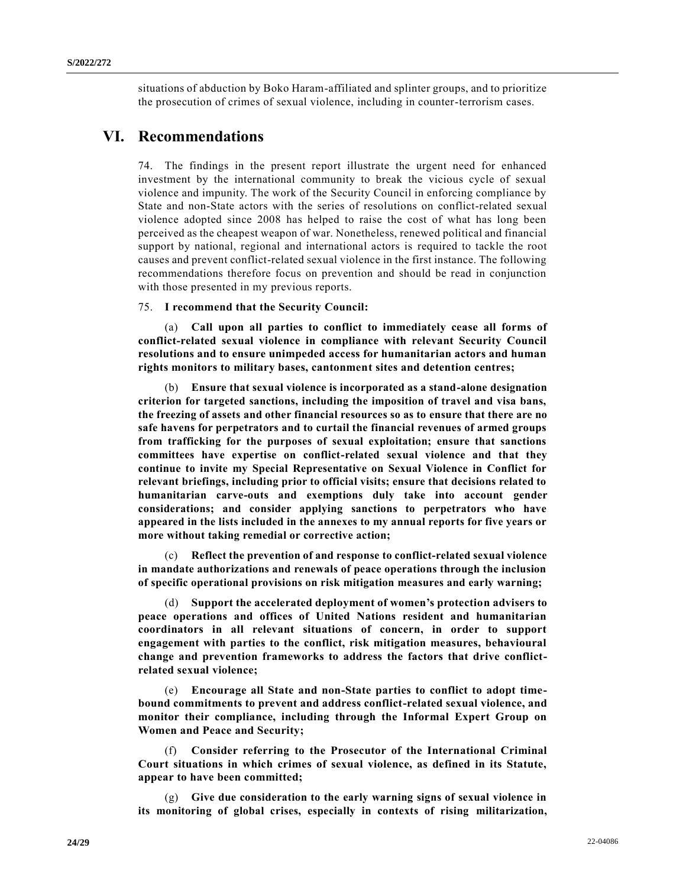situations of abduction by Boko Haram-affiliated and splinter groups, and to prioritize the prosecution of crimes of sexual violence, including in counter-terrorism cases.

# **VI. Recommendations**

74. The findings in the present report illustrate the urgent need for enhanced investment by the international community to break the vicious cycle of sexual violence and impunity. The work of the Security Council in enforcing compliance by State and non-State actors with the series of resolutions on conflict-related sexual violence adopted since 2008 has helped to raise the cost of what has long been perceived as the cheapest weapon of war. Nonetheless, renewed political and financial support by national, regional and international actors is required to tackle the root causes and prevent conflict-related sexual violence in the first instance. The following recommendations therefore focus on prevention and should be read in conjunction with those presented in my previous reports.

75. **I recommend that the Security Council:**

(a) **Call upon all parties to conflict to immediately cease all forms of conflict-related sexual violence in compliance with relevant Security Council resolutions and to ensure unimpeded access for humanitarian actors and human rights monitors to military bases, cantonment sites and detention centres;** 

(b) **Ensure that sexual violence is incorporated as a stand-alone designation criterion for targeted sanctions, including the imposition of travel and visa bans, the freezing of assets and other financial resources so as to ensure that there are no safe havens for perpetrators and to curtail the financial revenues of armed groups from trafficking for the purposes of sexual exploitation; ensure that sanctions committees have expertise on conflict-related sexual violence and that they continue to invite my Special Representative on Sexual Violence in Conflict for relevant briefings, including prior to official visits; ensure that decisions related to humanitarian carve-outs and exemptions duly take into account gender considerations; and consider applying sanctions to perpetrators who have appeared in the lists included in the annexes to my annual reports for five years or more without taking remedial or corrective action;**

(c) **Reflect the prevention of and response to conflict-related sexual violence in mandate authorizations and renewals of peace operations through the inclusion of specific operational provisions on risk mitigation measures and early warning;**

(d) **Support the accelerated deployment of women's protection advisers to peace operations and offices of United Nations resident and humanitarian coordinators in all relevant situations of concern, in order to support engagement with parties to the conflict, risk mitigation measures, behavioural change and prevention frameworks to address the factors that drive conflictrelated sexual violence;**

(e) **Encourage all State and non-State parties to conflict to adopt timebound commitments to prevent and address conflict-related sexual violence, and monitor their compliance, including through the Informal Expert Group on Women and Peace and Security;**

(f) **Consider referring to the Prosecutor of the International Criminal Court situations in which crimes of sexual violence, as defined in its Statute, appear to have been committed;**

(g) **Give due consideration to the early warning signs of sexual violence in its monitoring of global crises, especially in contexts of rising militarization,**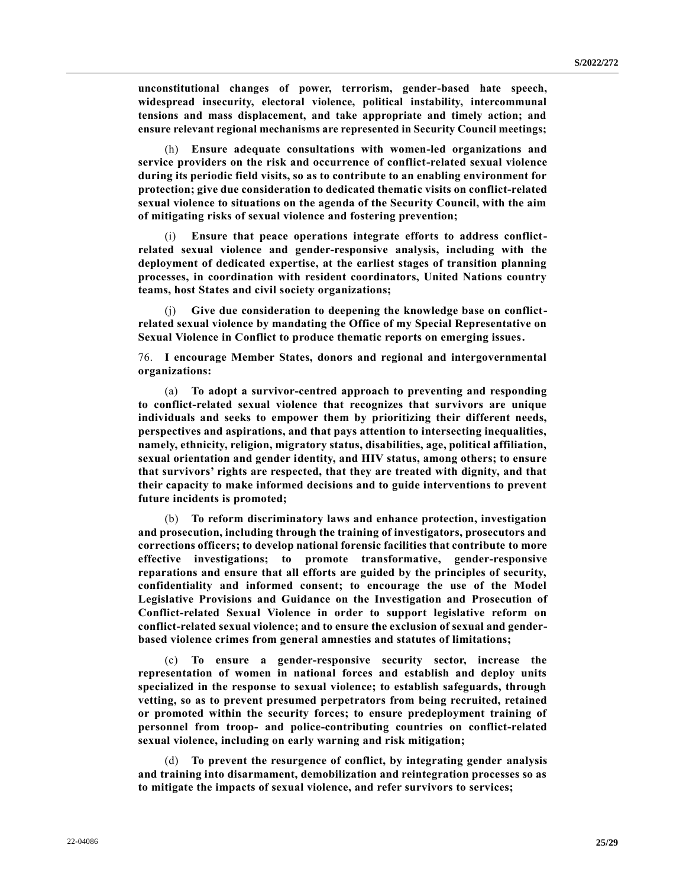**unconstitutional changes of power, terrorism, gender-based hate speech, widespread insecurity, electoral violence, political instability, intercommunal tensions and mass displacement, and take appropriate and timely action; and ensure relevant regional mechanisms are represented in Security Council meetings;**

(h) **Ensure adequate consultations with women-led organizations and service providers on the risk and occurrence of conflict-related sexual violence during its periodic field visits, so as to contribute to an enabling environment for protection; give due consideration to dedicated thematic visits on conflict-related sexual violence to situations on the agenda of the Security Council, with the aim of mitigating risks of sexual violence and fostering prevention;**

(i) **Ensure that peace operations integrate efforts to address conflictrelated sexual violence and gender-responsive analysis, including with the deployment of dedicated expertise, at the earliest stages of transition planning processes, in coordination with resident coordinators, United Nations country teams, host States and civil society organizations;**

(j) **Give due consideration to deepening the knowledge base on conflictrelated sexual violence by mandating the Office of my Special Representative on Sexual Violence in Conflict to produce thematic reports on emerging issues.**

76. **I encourage Member States, donors and regional and intergovernmental organizations:**

(a) **To adopt a survivor-centred approach to preventing and responding to conflict-related sexual violence that recognizes that survivors are unique individuals and seeks to empower them by prioritizing their different needs, perspectives and aspirations, and that pays attention to intersecting inequalities, namely, ethnicity, religion, migratory status, disabilities, age, political affiliation, sexual orientation and gender identity, and HIV status, among others; to ensure that survivors' rights are respected, that they are treated with dignity, and that their capacity to make informed decisions and to guide interventions to prevent future incidents is promoted;**

(b) **To reform discriminatory laws and enhance protection, investigation and prosecution, including through the training of investigators, prosecutors and corrections officers; to develop national forensic facilities that contribute to more effective investigations; to promote transformative, gender-responsive reparations and ensure that all efforts are guided by the principles of security, confidentiality and informed consent; to encourage the use of the Model Legislative Provisions and Guidance on the Investigation and Prosecution of Conflict-related Sexual Violence in order to support legislative reform on conflict-related sexual violence; and to ensure the exclusion of sexual and genderbased violence crimes from general amnesties and statutes of limitations;** 

(c) **To ensure a gender-responsive security sector, increase the representation of women in national forces and establish and deploy units specialized in the response to sexual violence; to establish safeguards, through vetting, so as to prevent presumed perpetrators from being recruited, retained or promoted within the security forces; to ensure predeployment training of personnel from troop- and police-contributing countries on conflict-related sexual violence, including on early warning and risk mitigation;** 

(d) **To prevent the resurgence of conflict, by integrating gender analysis and training into disarmament, demobilization and reintegration processes so as to mitigate the impacts of sexual violence, and refer survivors to services;**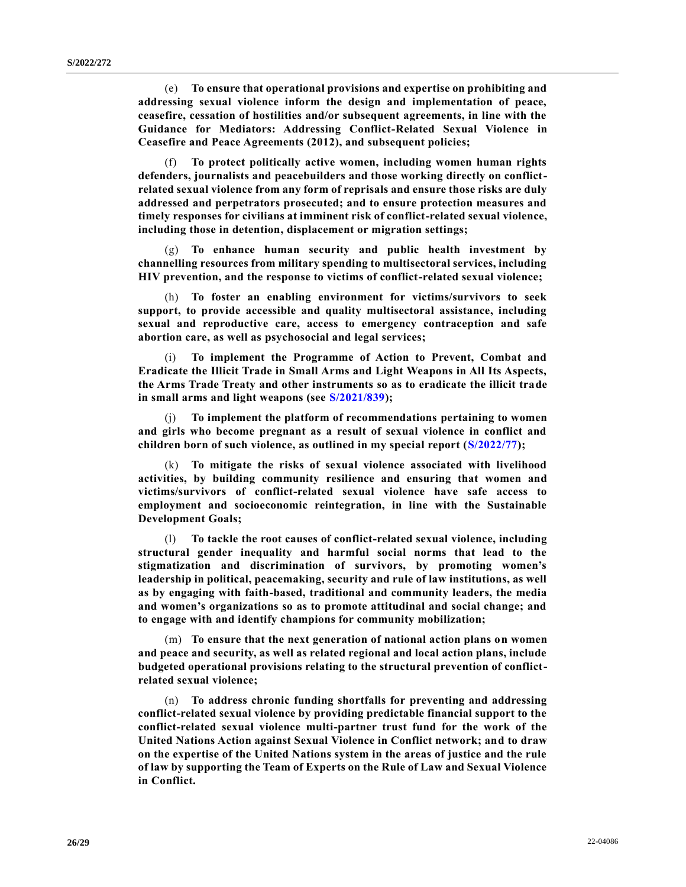(e) **To ensure that operational provisions and expertise on prohibiting and addressing sexual violence inform the design and implementation of peace, ceasefire, cessation of hostilities and/or subsequent agreements, in line with the Guidance for Mediators: Addressing Conflict-Related Sexual Violence in Ceasefire and Peace Agreements (2012), and subsequent policies;**

(f) **To protect politically active women, including women human rights defenders, journalists and peacebuilders and those working directly on conflictrelated sexual violence from any form of reprisals and ensure those risks are duly addressed and perpetrators prosecuted; and to ensure protection measures and timely responses for civilians at imminent risk of conflict-related sexual violence, including those in detention, displacement or migration settings;**

(g) **To enhance human security and public health investment by channelling resources from military spending to multisectoral services, including HIV prevention, and the response to victims of conflict-related sexual violence;** 

(h) **To foster an enabling environment for victims/survivors to seek support, to provide accessible and quality multisectoral assistance, including sexual and reproductive care, access to emergency contraception and safe abortion care, as well as psychosocial and legal services;**

(i) **To implement the Programme of Action to Prevent, Combat and Eradicate the Illicit Trade in Small Arms and Light Weapons in All Its Aspects, the Arms Trade Treaty and other instruments so as to eradicate the illicit trade in small arms and light weapons (see [S/2021/839\)](https://undocs.org/en/S/2021/839);** 

(j) **To implement the platform of recommendations pertaining to women and girls who become pregnant as a result of sexual violence in conflict and children born of such violence, as outlined in my special report [\(S/2022/77\)](https://undocs.org/en/S/2022/77);**

(k) **To mitigate the risks of sexual violence associated with livelihood activities, by building community resilience and ensuring that women and victims/survivors of conflict-related sexual violence have safe access to employment and socioeconomic reintegration, in line with the Sustainable Development Goals;**

(l) **To tackle the root causes of conflict-related sexual violence, including structural gender inequality and harmful social norms that lead to the stigmatization and discrimination of survivors, by promoting women's leadership in political, peacemaking, security and rule of law institutions, as well as by engaging with faith-based, traditional and community leaders, the media and women's organizations so as to promote attitudinal and social change; and to engage with and identify champions for community mobilization;** 

(m) **To ensure that the next generation of national action plans on women and peace and security, as well as related regional and local action plans, include budgeted operational provisions relating to the structural prevention of conflictrelated sexual violence;**

(n) **To address chronic funding shortfalls for preventing and addressing conflict-related sexual violence by providing predictable financial support to the conflict-related sexual violence multi-partner trust fund for the work of the United Nations Action against Sexual Violence in Conflict network; and to draw on the expertise of the United Nations system in the areas of justice and the rule of law by supporting the Team of Experts on the Rule of Law and Sexual Violence in Conflict.**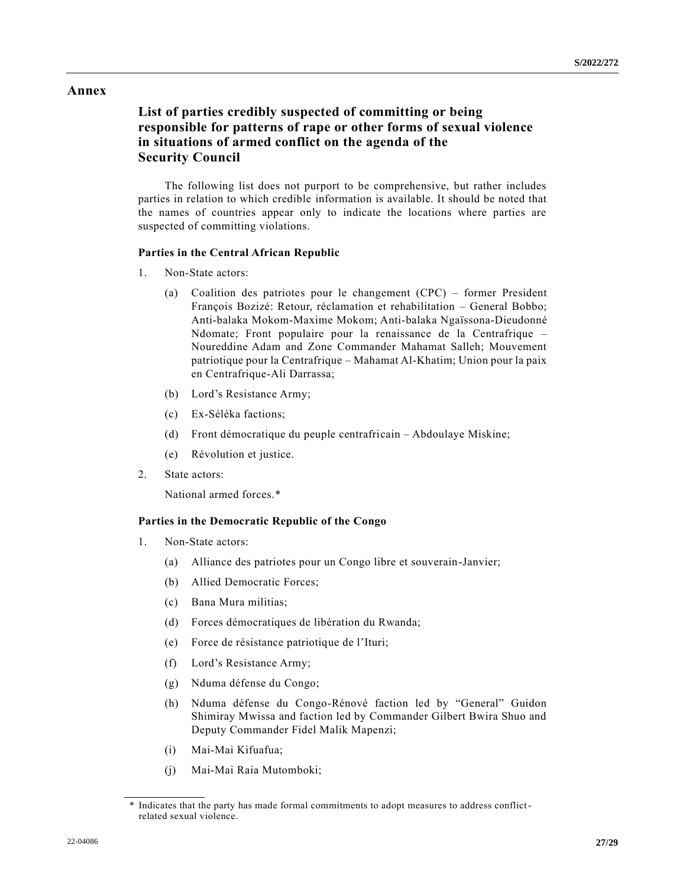# **Annex**

# **List of parties credibly suspected of committing or being responsible for patterns of rape or other forms of sexual violence in situations of armed conflict on the agenda of the Security Council**

The following list does not purport to be comprehensive, but rather includes parties in relation to which credible information is available. It should be noted that the names of countries appear only to indicate the locations where parties are suspected of committing violations.

## **Parties in the Central African Republic**

- 1. Non-State actors:
	- (a) Coalition des patriotes pour le changement (CPC) former President François Bozizé: Retour, réclamation et rehabilitation – General Bobbo; Anti-balaka Mokom-Maxime Mokom; Anti-balaka Ngaïssona-Dieudonné Ndomate; Front populaire pour la renaissance de la Centrafrique – Noureddine Adam and Zone Commander Mahamat Salleh; Mouvement patriotique pour la Centrafrique – Mahamat Al-Khatim; Union pour la paix en Centrafrique-Ali Darrassa;
	- (b) Lord's Resistance Army;
	- (c) Ex-Séléka factions;
	- (d) Front démocratique du peuple centrafricain Abdoulaye Miskine;
	- (e) Révolution et justice.
- 2. State actors:

National armed forces.\*

## **Parties in the Democratic Republic of the Congo**

- 1. Non-State actors:
	- (a) Alliance des patriotes pour un Congo libre et souverain-Janvier;
	- (b) Allied Democratic Forces;
	- (c) Bana Mura militias;
	- (d) Forces démocratiques de libération du Rwanda;
	- (e) Force de résistance patriotique de l'Ituri;
	- (f) Lord's Resistance Army;
	- (g) Nduma défense du Congo;
	- (h) Nduma défense du Congo-Rénové faction led by "General" Guidon Shimiray Mwissa and faction led by Commander Gilbert Bwira Shuo and Deputy Commander Fidel Malik Mapenzi;
	- (i) Mai-Mai Kifuafua;
	- (j) Mai-Mai Raia Mutomboki;

Indicates that the party has made formal commitments to adopt measures to address conflictrelated sexual violence.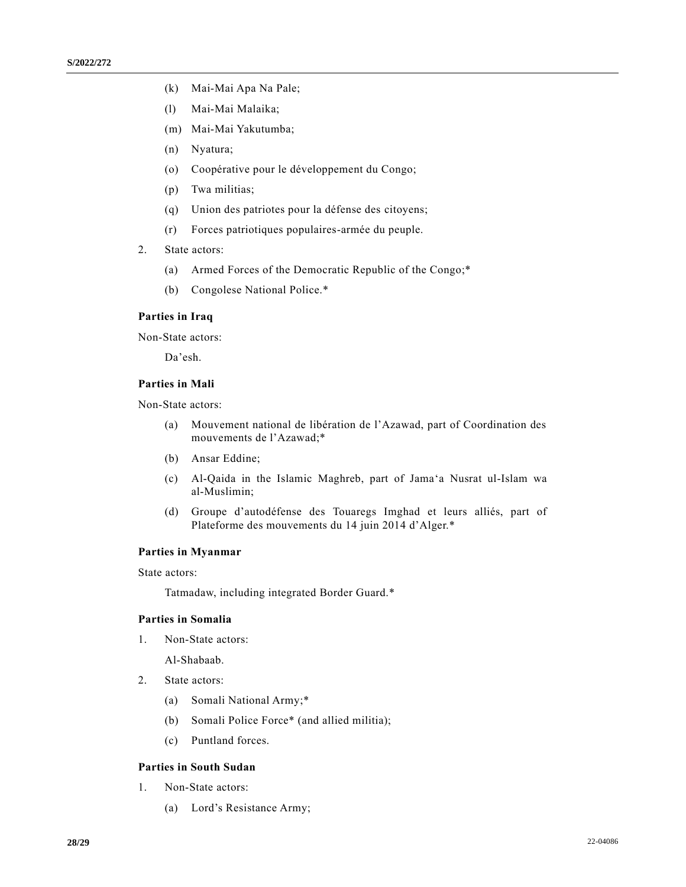- (k) Mai-Mai Apa Na Pale;
- (l) Mai-Mai Malaika;
- (m) Mai-Mai Yakutumba;
- (n) Nyatura;
- (o) Coopérative pour le développement du Congo;
- (p) Twa militias;
- (q) Union des patriotes pour la défense des citoyens;
- (r) Forces patriotiques populaires-armée du peuple.
- 2. State actors:
	- (a) Armed Forces of the Democratic Republic of the Congo;\*
	- (b) Congolese National Police.\*

### **Parties in Iraq**

Non-State actors:

Da'esh.

## **Parties in Mali**

Non-State actors:

- (a) Mouvement national de libération de l'Azawad, part of Coordination des mouvements de l'Azawad;\*
- (b) Ansar Eddine;
- (c) Al-Qaida in the Islamic Maghreb, part of Jama'a Nusrat ul-Islam wa al-Muslimin;
- (d) Groupe d'autodéfense des Touaregs Imghad et leurs alliés, part of Plateforme des mouvements du 14 juin 2014 d'Alger.\*

#### **Parties in Myanmar**

State actors:

Tatmadaw, including integrated Border Guard.\*

# **Parties in Somalia**

1. Non-State actors:

Al-Shabaab.

- 2. State actors:
	- (a) Somali National Army;\*
	- (b) Somali Police Force\* (and allied militia);
	- (c) Puntland forces.

# **Parties in South Sudan**

- 1. Non-State actors:
	- (a) Lord's Resistance Army;